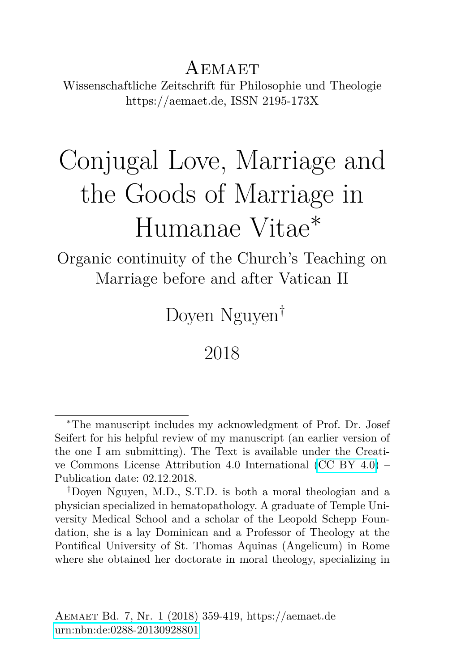AEMAET Wissenschaftliche Zeitschrift für Philosophie und Theologie https://aemaet.de, ISSN 2195-173X

# Conjugal Love, Marriage and the Goods of Marriage in Humanae Vitae<sup>∗</sup>

Organic continuity of the Church's Teaching on Marriage before and after Vatican II

Doyen Nguyen†

#### 2018

<sup>∗</sup>The manuscript includes my acknowledgment of Prof. Dr. Josef Seifert for his helpful review of my manuscript (an earlier version of the one I am submitting). The Text is available under the Creative Commons License Attribution 4.0 International [\(CC BY 4.0\)](https://creativecommons.org/licenses/by/4.0/deed.en) – Publication date: 02.12.2018.

<sup>†</sup>Doyen Nguyen, M.D., S.T.D. is both a moral theologian and a physician specialized in hematopathology. A graduate of Temple University Medical School and a scholar of the Leopold Schepp Foundation, she is a lay Dominican and a Professor of Theology at the Pontifical University of St. Thomas Aquinas (Angelicum) in Rome where she obtained her doctorate in moral theology, specializing in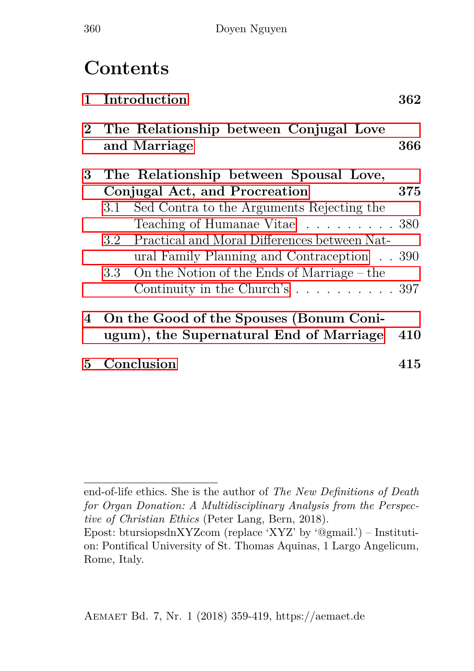## **Contents**

| $\mathbf{1}$ | Introduction                                |                                                          | 362 |
|--------------|---------------------------------------------|----------------------------------------------------------|-----|
|              |                                             | 2 The Relationship between Conjugal Love<br>and Marriage | 366 |
| 3            |                                             | The Relationship between Spousal Love,                   |     |
|              | Conjugal Act, and Procreation               |                                                          |     |
|              | 3.1                                         | Sed Contra to the Arguments Rejecting the                |     |
|              |                                             | Teaching of Humanae Vitae 380                            |     |
|              |                                             | 3.2 Practical and Moral Differences between Nat-         |     |
|              |                                             | ural Family Planning and Contraception 390               |     |
|              |                                             | 3.3 On the Notion of the Ends of Marriage – the          |     |
|              |                                             | Continuity in the Church's 397                           |     |
|              | 4 On the Good of the Spouses (Bonum Coni-   |                                                          |     |
|              | ugum), the Supernatural End of Marriage 410 |                                                          |     |
| 5            | Conclusion                                  |                                                          | 415 |
|              |                                             |                                                          |     |

end-of-life ethics. She is the author of *The New Definitions of Death for Organ Donation: A Multidisciplinary Analysis from the Perspective of Christian Ethics* (Peter Lang, Bern, 2018).

Epost: btursiopsdnXYZcom (replace 'XYZ' by '@gmail.') – Institution: Pontifical University of St. Thomas Aquinas, 1 Largo Angelicum, Rome, Italy.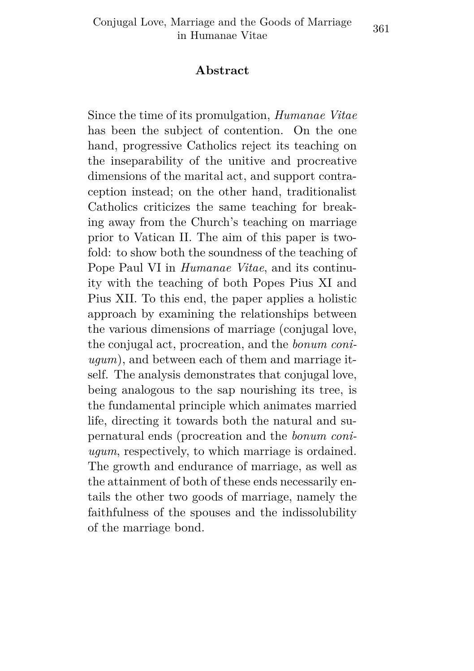#### **Abstract**

Since the time of its promulgation, *Humanae Vitae* has been the subject of contention. On the one hand, progressive Catholics reject its teaching on the inseparability of the unitive and procreative dimensions of the marital act, and support contraception instead; on the other hand, traditionalist Catholics criticizes the same teaching for breaking away from the Church's teaching on marriage prior to Vatican II. The aim of this paper is twofold: to show both the soundness of the teaching of Pope Paul VI in *Humanae Vitae*, and its continuity with the teaching of both Popes Pius XI and Pius XII. To this end, the paper applies a holistic approach by examining the relationships between the various dimensions of marriage (conjugal love, the conjugal act, procreation, and the *bonum coniugum*), and between each of them and marriage itself. The analysis demonstrates that conjugal love, being analogous to the sap nourishing its tree, is the fundamental principle which animates married life, directing it towards both the natural and supernatural ends (procreation and the *bonum coniugum*, respectively, to which marriage is ordained. The growth and endurance of marriage, as well as the attainment of both of these ends necessarily entails the other two goods of marriage, namely the faithfulness of the spouses and the indissolubility of the marriage bond.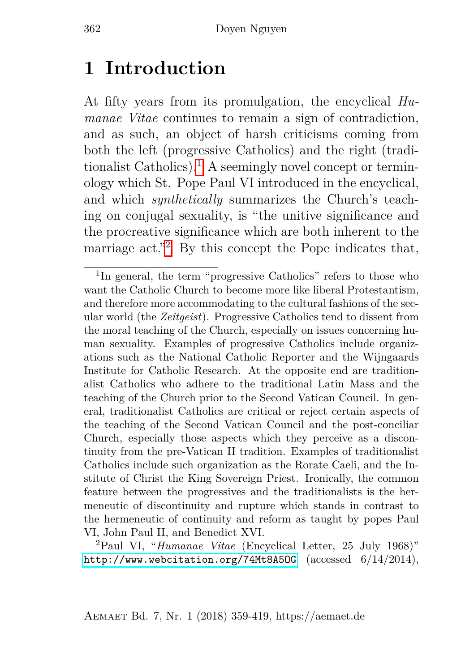### <span id="page-3-0"></span>**1 Introduction**

At fifty years from its promulgation, the encyclical *Humanae Vitae* continues to remain a sign of contradiction, and as such, an object of harsh criticisms coming from both the left (progressive Catholics) and the right (tradi-tionalist Catholics).<sup>[1](#page-3-1)</sup> A seemingly novel concept or terminology which St. Pope Paul VI introduced in the encyclical, and which *synthetically* summarizes the Church's teaching on conjugal sexuality, is "the unitive significance and the procreative significance which are both inherent to the marriage act."<sup>[2](#page-3-2)</sup> By this concept the Pope indicates that,

<span id="page-3-1"></span><sup>&</sup>lt;sup>1</sup>In general, the term "progressive Catholics" refers to those who want the Catholic Church to become more like liberal Protestantism, and therefore more accommodating to the cultural fashions of the secular world (the *Zeitgeist*). Progressive Catholics tend to dissent from the moral teaching of the Church, especially on issues concerning human sexuality. Examples of progressive Catholics include organizations such as the National Catholic Reporter and the Wijngaards Institute for Catholic Research. At the opposite end are traditionalist Catholics who adhere to the traditional Latin Mass and the teaching of the Church prior to the Second Vatican Council. In general, traditionalist Catholics are critical or reject certain aspects of the teaching of the Second Vatican Council and the post-conciliar Church, especially those aspects which they perceive as a discontinuity from the pre-Vatican II tradition. Examples of traditionalist Catholics include such organization as the Rorate Caeli, and the Institute of Christ the King Sovereign Priest. Ironically, the common feature between the progressives and the traditionalists is the hermeneutic of discontinuity and rupture which stands in contrast to the hermeneutic of continuity and reform as taught by popes Paul VI, John Paul II, and Benedict XVI.

<span id="page-3-2"></span><sup>2</sup>Paul VI, "*Humanae Vitae* (Encyclical Letter, 25 July 1968)" <http://www.webcitation.org/74Mt8A5OG> (accessed 6/14/2014),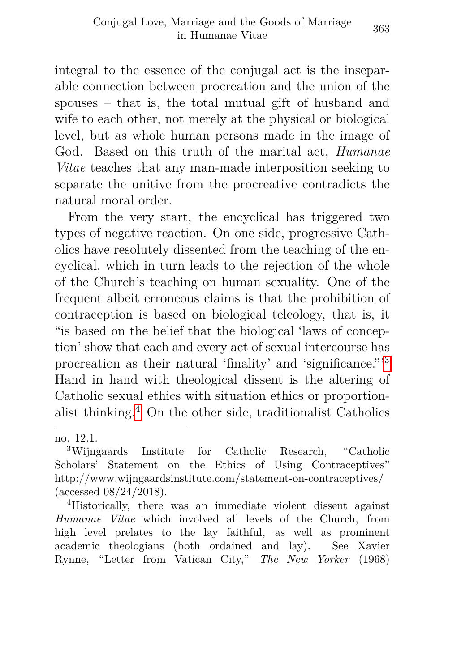integral to the essence of the conjugal act is the inseparable connection between procreation and the union of the spouses – that is, the total mutual gift of husband and wife to each other, not merely at the physical or biological level, but as whole human persons made in the image of God. Based on this truth of the marital act, *Humanae Vitae* teaches that any man-made interposition seeking to separate the unitive from the procreative contradicts the natural moral order.

From the very start, the encyclical has triggered two types of negative reaction. On one side, progressive Catholics have resolutely dissented from the teaching of the encyclical, which in turn leads to the rejection of the whole of the Church's teaching on human sexuality. One of the frequent albeit erroneous claims is that the prohibition of contraception is based on biological teleology, that is, it "is based on the belief that the biological 'laws of conception' show that each and every act of sexual intercourse has procreation as their natural 'finality' and 'significance."'[3](#page-4-0) Hand in hand with theological dissent is the altering of Catholic sexual ethics with situation ethics or proportion-alist thinking.<sup>[4](#page-4-1)</sup> On the other side, traditionalist Catholics

no. 12.1.

<span id="page-4-0"></span><sup>3</sup>Wijngaards Institute for Catholic Research, "Catholic Scholars' Statement on the Ethics of Using Contraceptives" http://www.wijngaardsinstitute.com/statement-on-contraceptives/ (accessed 08/24/2018).

<span id="page-4-1"></span><sup>4</sup>Historically, there was an immediate violent dissent against *Humanae Vitae* which involved all levels of the Church, from high level prelates to the lay faithful, as well as prominent academic theologians (both ordained and lay). See Xavier Rynne, "Letter from Vatican City," *The New Yorker* (1968)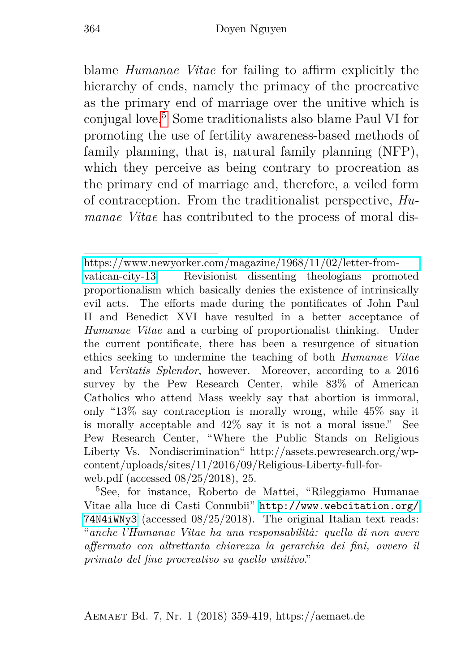blame *Humanae Vitae* for failing to affirm explicitly the hierarchy of ends, namely the primacy of the procreative as the primary end of marriage over the unitive which is conjugal love.[5](#page-5-0) Some traditionalists also blame Paul VI for promoting the use of fertility awareness-based methods of family planning, that is, natural family planning (NFP), which they perceive as being contrary to procreation as the primary end of marriage and, therefore, a veiled form of contraception. From the traditionalist perspective, *Humanae Vitae* has contributed to the process of moral dis-

<span id="page-5-0"></span><sup>5</sup>See, for instance, Roberto de Mattei, "Rileggiamo Humanae Vitae alla luce di Casti Connubii" [http://www.webcitation.org/](http://www.webcitation.org/74N4iWNy3) [74N4iWNy3](http://www.webcitation.org/74N4iWNy3) (accessed 08/25/2018). The original Italian text reads: "*anche l'Humanae Vitae ha una responsabilità: quella di non avere affermato con altrettanta chiarezza la gerarchia dei fini, ovvero il primato del fine procreativo su quello unitivo*."

Aemaet Bd. 7, Nr. 1 (2018) 359-419, https://aemaet.de

[https://www.newyorker.com/magazine/1968/11/02/letter-from-](https://www.newyorker.com/magazine/1968/11/02/letter-from-vatican-city-13)

[vatican-city-13.](https://www.newyorker.com/magazine/1968/11/02/letter-from-vatican-city-13) Revisionist dissenting theologians promoted proportionalism which basically denies the existence of intrinsically evil acts. The efforts made during the pontificates of John Paul II and Benedict XVI have resulted in a better acceptance of *Humanae Vitae* and a curbing of proportionalist thinking. Under the current pontificate, there has been a resurgence of situation ethics seeking to undermine the teaching of both *Humanae Vitae* and *Veritatis Splendor*, however. Moreover, according to a 2016 survey by the Pew Research Center, while 83% of American Catholics who attend Mass weekly say that abortion is immoral, only "13% say contraception is morally wrong, while 45% say it is morally acceptable and 42% say it is not a moral issue." See Pew Research Center, "Where the Public Stands on Religious Liberty Vs. Nondiscrimination" http://assets.pewresearch.org/wpcontent/uploads/sites/11/2016/09/Religious-Liberty-full-forweb.pdf (accessed 08/25/2018), 25.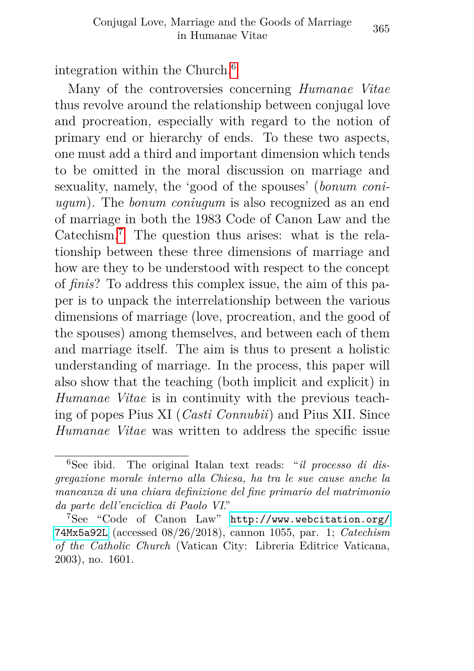integration within the Church.[6](#page-6-0)

Many of the controversies concerning *Humanae Vitae* thus revolve around the relationship between conjugal love and procreation, especially with regard to the notion of primary end or hierarchy of ends. To these two aspects, one must add a third and important dimension which tends to be omitted in the moral discussion on marriage and sexuality, namely, the 'good of the spouses' (*bonum coniugum*). The *bonum coniugum* is also recognized as an end of marriage in both the 1983 Code of Canon Law and the Catechism.[7](#page-6-1) The question thus arises: what is the relationship between these three dimensions of marriage and how are they to be understood with respect to the concept of *finis*? To address this complex issue, the aim of this paper is to unpack the interrelationship between the various dimensions of marriage (love, procreation, and the good of the spouses) among themselves, and between each of them and marriage itself. The aim is thus to present a holistic understanding of marriage. In the process, this paper will also show that the teaching (both implicit and explicit) in *Humanae Vitae* is in continuity with the previous teaching of popes Pius XI (*Casti Connubii*) and Pius XII. Since *Humanae Vitae* was written to address the specific issue

<span id="page-6-0"></span><sup>6</sup>See ibid. The original Italan text reads: "*il processo di disgregazione morale interno alla Chiesa, ha tra le sue cause anche la mancanza di una chiara definizione del fine primario del matrimonio da parte dell'enciclica di Paolo VI*."

<span id="page-6-1"></span><sup>7</sup>See "Code of Canon Law" [http://www.webcitation.org/](http://www.webcitation.org/74Mx5a92L) [74Mx5a92L](http://www.webcitation.org/74Mx5a92L) (accessed 08/26/2018), cannon 1055, par. 1; *Catechism of the Catholic Church* (Vatican City: Libreria Editrice Vaticana, 2003), no. 1601.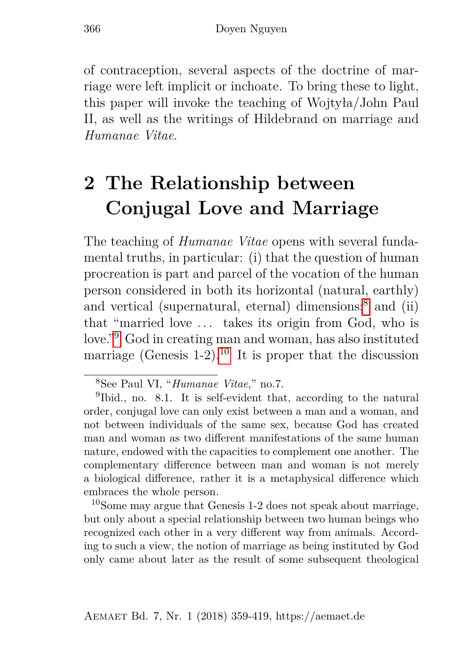of contraception, several aspects of the doctrine of marriage were left implicit or inchoate. To bring these to light, this paper will invoke the teaching of Wojtyła/John Paul II, as well as the writings of Hildebrand on marriage and *Humanae Vitae*.

## <span id="page-7-0"></span>**2 The Relationship between Conjugal Love and Marriage**

The teaching of *Humanae Vitae* opens with several fundamental truths, in particular: (i) that the question of human procreation is part and parcel of the vocation of the human person considered in both its horizontal (natural, earthly) and vertical (supernatural, eternal) dimensions;<sup>[8](#page-7-1)</sup> and (ii) that "married love . . . takes its origin from God, who is love."[9](#page-7-2) God in creating man and woman, has also instituted marriage (Genesis  $1-2$ ).<sup>[10](#page-7-3)</sup> It is proper that the discussion

<span id="page-7-3"></span><sup>10</sup>Some may argue that Genesis 1-2 does not speak about marriage, but only about a special relationship between two human beings who recognized each other in a very different way from animals. According to such a view, the notion of marriage as being instituted by God only came about later as the result of some subsequent theological

<span id="page-7-2"></span><span id="page-7-1"></span><sup>8</sup>See Paul VI, "*Humanae Vitae*," no.7.

<sup>&</sup>lt;sup>9</sup>Ibid., no. 8.1. It is self-evident that, according to the natural order, conjugal love can only exist between a man and a woman, and not between individuals of the same sex, because God has created man and woman as two different manifestations of the same human nature, endowed with the capacities to complement one another. The complementary difference between man and woman is not merely a biological difference, rather it is a metaphysical difference which embraces the whole person.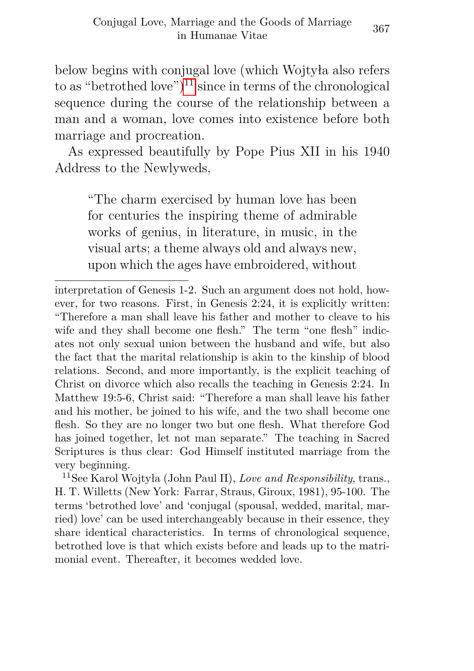below begins with conjugal love (which Wojtyła also refers to as "betrothed love" $)^{11}$  $)^{11}$  $)^{11}$  since in terms of the chronological sequence during the course of the relationship between a man and a woman, love comes into existence before both marriage and procreation.

As expressed beautifully by Pope Pius XII in his 1940 Address to the Newlyweds,

"The charm exercised by human love has been for centuries the inspiring theme of admirable works of genius, in literature, in music, in the visual arts; a theme always old and always new, upon which the ages have embroidered, without

interpretation of Genesis 1-2. Such an argument does not hold, however, for two reasons. First, in Genesis 2:24, it is explicitly written: "Therefore a man shall leave his father and mother to cleave to his wife and they shall become one flesh." The term "one flesh" indicates not only sexual union between the husband and wife, but also the fact that the marital relationship is akin to the kinship of blood relations. Second, and more importantly, is the explicit teaching of Christ on divorce which also recalls the teaching in Genesis 2:24. In Matthew 19:5-6, Christ said: "Therefore a man shall leave his father and his mother, be joined to his wife, and the two shall become one flesh. So they are no longer two but one flesh. What therefore God has joined together, let not man separate." The teaching in Sacred Scriptures is thus clear: God Himself instituted marriage from the very beginning.

<span id="page-8-0"></span><sup>11</sup>See Karol Wojtyła (John Paul II), *Love and Responsibility*, trans., H. T. Willetts (New York: Farrar, Straus, Giroux, 1981), 95-100. The terms 'betrothed love' and 'conjugal (spousal, wedded, marital, married) love' can be used interchangeably because in their essence, they share identical characteristics. In terms of chronological sequence, betrothed love is that which exists before and leads up to the matrimonial event. Thereafter, it becomes wedded love.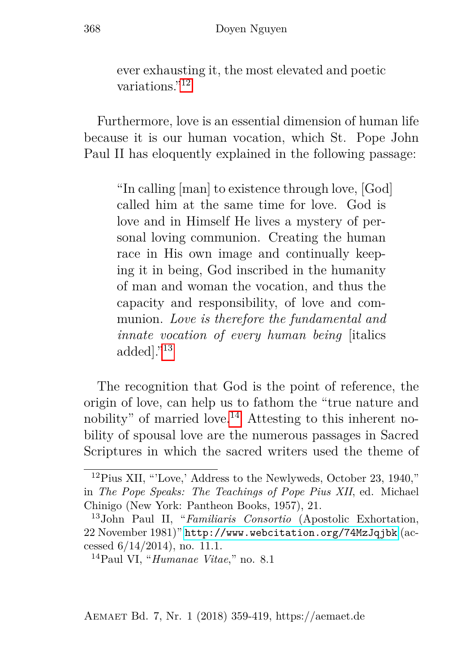ever exhausting it, the most elevated and poetic variations<sup>"[12](#page-9-0)</sup>

Furthermore, love is an essential dimension of human life because it is our human vocation, which St. Pope John Paul II has eloquently explained in the following passage:

"In calling [man] to existence through love, [God] called him at the same time for love. God is love and in Himself He lives a mystery of personal loving communion. Creating the human race in His own image and continually keeping it in being, God inscribed in the humanity of man and woman the vocation, and thus the capacity and responsibility, of love and communion. *Love is therefore the fundamental and innate vocation of every human being* [italics added]."[13](#page-9-1)

The recognition that God is the point of reference, the origin of love, can help us to fathom the "true nature and nobility" of married love.<sup>[14](#page-9-2)</sup> Attesting to this inherent nobility of spousal love are the numerous passages in Sacred Scriptures in which the sacred writers used the theme of

<span id="page-9-0"></span><sup>12</sup>Pius XII, "'Love,' Address to the Newlyweds, October 23, 1940," in *The Pope Speaks: The Teachings of Pope Pius XII*, ed. Michael Chinigo (New York: Pantheon Books, 1957), 21.

<span id="page-9-1"></span><sup>13</sup>John Paul II, "*Familiaris Consortio* (Apostolic Exhortation, 22 November 1981)" <http://www.webcitation.org/74MzJqjbk> (accessed 6/14/2014), no. 11.1.

<span id="page-9-2"></span><sup>14</sup>Paul VI, "*Humanae Vitae*," no. 8.1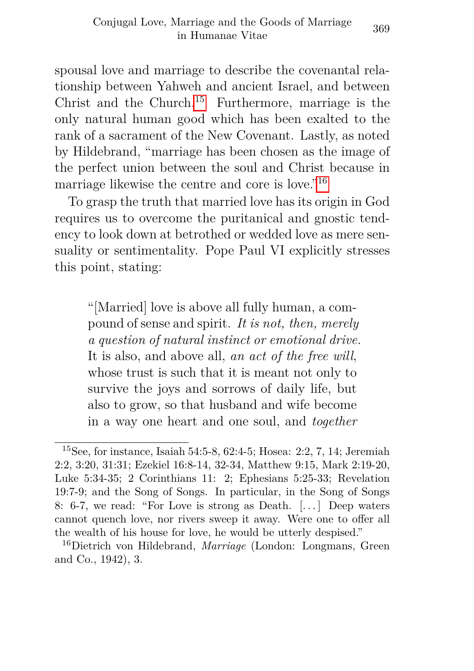spousal love and marriage to describe the covenantal relationship between Yahweh and ancient Israel, and between Christ and the Church.<sup>[15](#page-10-0)</sup> Furthermore, marriage is the only natural human good which has been exalted to the rank of a sacrament of the New Covenant. Lastly, as noted by Hildebrand, "marriage has been chosen as the image of the perfect union between the soul and Christ because in marriage likewise the centre and core is love.<sup>"[16](#page-10-1)</sup>

To grasp the truth that married love has its origin in God requires us to overcome the puritanical and gnostic tendency to look down at betrothed or wedded love as mere sensuality or sentimentality. Pope Paul VI explicitly stresses this point, stating:

"[Married] love is above all fully human, a compound of sense and spirit. *It is not, then, merely a question of natural instinct or emotional drive.* It is also, and above all, *an act of the free will*, whose trust is such that it is meant not only to survive the joys and sorrows of daily life, but also to grow, so that husband and wife become in a way one heart and one soul, and *together*

<span id="page-10-0"></span><sup>15</sup>See, for instance, Isaiah 54:5-8, 62:4-5; Hosea: 2:2, 7, 14; Jeremiah 2:2, 3:20, 31:31; Ezekiel 16:8-14, 32-34, Matthew 9:15, Mark 2:19-20, Luke 5:34-35; 2 Corinthians 11: 2; Ephesians 5:25-33; Revelation 19:7-9; and the Song of Songs. In particular, in the Song of Songs 8: 6-7, we read: "For Love is strong as Death. [. . . ] Deep waters cannot quench love, nor rivers sweep it away. Were one to offer all the wealth of his house for love, he would be utterly despised."

<span id="page-10-1"></span><sup>16</sup>Dietrich von Hildebrand, *Marriage* (London: Longmans, Green and Co., 1942), 3.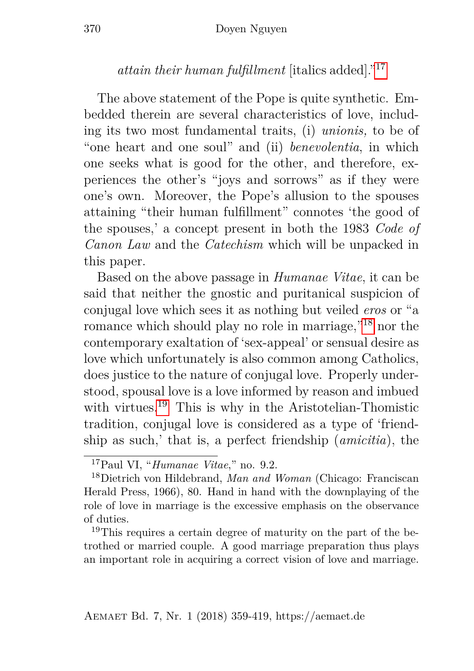#### *attain their human fulfillment* [italics added]."[17](#page-11-0)

The above statement of the Pope is quite synthetic. Embedded therein are several characteristics of love, including its two most fundamental traits, (i) *unionis,* to be of "one heart and one soul" and (ii) *benevolentia*, in which one seeks what is good for the other, and therefore, experiences the other's "joys and sorrows" as if they were one's own. Moreover, the Pope's allusion to the spouses attaining "their human fulfillment" connotes 'the good of the spouses,' a concept present in both the 1983 *Code of Canon Law* and the *Catechism* which will be unpacked in this paper.

Based on the above passage in *Humanae Vitae*, it can be said that neither the gnostic and puritanical suspicion of conjugal love which sees it as nothing but veiled *eros* or "a romance which should play no role in marriage,"[18](#page-11-1) nor the contemporary exaltation of 'sex-appeal' or sensual desire as love which unfortunately is also common among Catholics, does justice to the nature of conjugal love. Properly understood, spousal love is a love informed by reason and imbued with virtues.<sup>[19](#page-11-2)</sup> This is why in the Aristotelian-Thomistic tradition, conjugal love is considered as a type of 'friendship as such,' that is, a perfect friendship (*amicitia*), the

<span id="page-11-2"></span><sup>19</sup>This requires a certain degree of maturity on the part of the betrothed or married couple. A good marriage preparation thus plays an important role in acquiring a correct vision of love and marriage.

<span id="page-11-1"></span><span id="page-11-0"></span><sup>17</sup>Paul VI, "*Humanae Vitae*," no. 9.2.

<sup>18</sup>Dietrich von Hildebrand, *Man and Woman* (Chicago: Franciscan Herald Press, 1966), 80. Hand in hand with the downplaying of the role of love in marriage is the excessive emphasis on the observance of duties.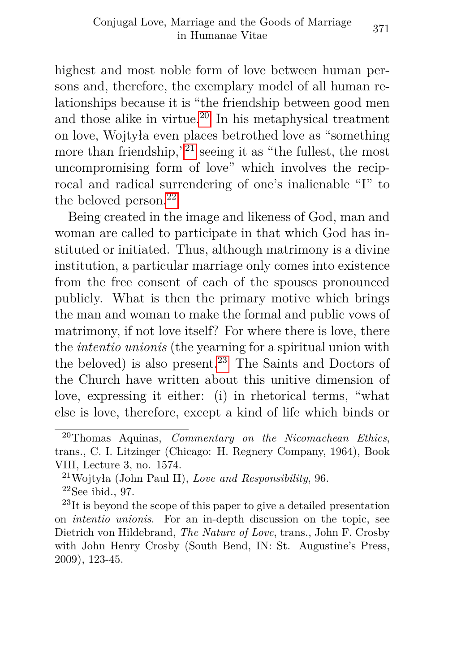highest and most noble form of love between human persons and, therefore, the exemplary model of all human relationships because it is "the friendship between good men and those alike in virtue.<sup>[20](#page-12-0)</sup> In his metaphysical treatment on love, Wojtyła even places betrothed love as "something more than friendship,<sup>"[21](#page-12-1)</sup> seeing it as "the fullest, the most" uncompromising form of love" which involves the reciprocal and radical surrendering of one's inalienable "I" to the beloved person.<sup>[22](#page-12-2)</sup>

Being created in the image and likeness of God, man and woman are called to participate in that which God has instituted or initiated. Thus, although matrimony is a divine institution, a particular marriage only comes into existence from the free consent of each of the spouses pronounced publicly. What is then the primary motive which brings the man and woman to make the formal and public vows of matrimony, if not love itself? For where there is love, there the *intentio unionis* (the yearning for a spiritual union with the beloved) is also present.<sup>[23](#page-12-3)</sup> The Saints and Doctors of the Church have written about this unitive dimension of love, expressing it either: (i) in rhetorical terms, "what else is love, therefore, except a kind of life which binds or

<span id="page-12-0"></span><sup>20</sup>Thomas Aquinas, *Commentary on the Nicomachean Ethics*, trans., C. I. Litzinger (Chicago: H. Regnery Company, 1964), Book VIII, Lecture 3, no. 1574.

<span id="page-12-2"></span><span id="page-12-1"></span><sup>21</sup>Wojtyła (John Paul II), *Love and Responsibility*, 96.  $22$ See ibid., 97.

<span id="page-12-3"></span><sup>&</sup>lt;sup>23</sup>It is beyond the scope of this paper to give a detailed presentation on *intentio unionis*. For an in-depth discussion on the topic, see Dietrich von Hildebrand, *The Nature of Love*, trans., John F. Crosby with John Henry Crosby (South Bend, IN: St. Augustine's Press, 2009), 123-45.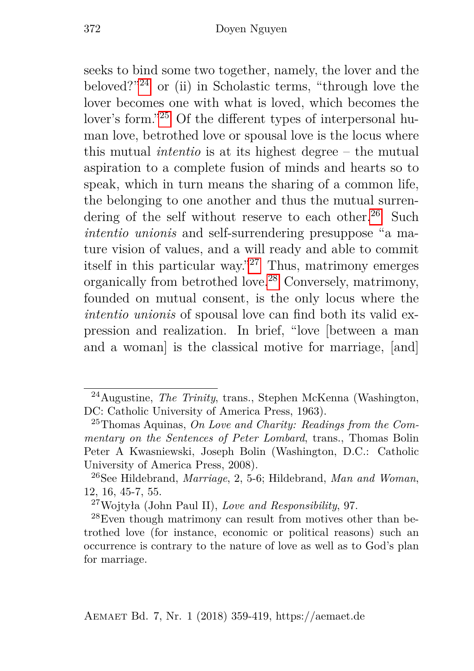seeks to bind some two together, namely, the lover and the beloved?"[24](#page-13-0) or (ii) in Scholastic terms, "through love the lover becomes one with what is loved, which becomes the lover's form."[25](#page-13-1) Of the different types of interpersonal human love, betrothed love or spousal love is the locus where this mutual *intentio* is at its highest degree – the mutual aspiration to a complete fusion of minds and hearts so to speak, which in turn means the sharing of a common life, the belonging to one another and thus the mutual surren-dering of the self without reserve to each other.<sup>[26](#page-13-2)</sup> Such *intentio unionis* and self-surrendering presuppose "a mature vision of values, and a will ready and able to commit itself in this particular way."[27](#page-13-3) Thus, matrimony emerges organically from betrothed love.[28](#page-13-4) Conversely, matrimony, founded on mutual consent, is the only locus where the *intentio unionis* of spousal love can find both its valid expression and realization. In brief, "love [between a man and a woman] is the classical motive for marriage, [and]

<span id="page-13-0"></span><sup>24</sup>Augustine, *The Trinity*, trans., Stephen McKenna (Washington, DC: Catholic University of America Press, 1963).

<span id="page-13-1"></span><sup>25</sup>Thomas Aquinas, *On Love and Charity: Readings from the Commentary on the Sentences of Peter Lombard*, trans., Thomas Bolin Peter A Kwasniewski, Joseph Bolin (Washington, D.C.: Catholic University of America Press, 2008).

<span id="page-13-2"></span><sup>26</sup>See Hildebrand, *Marriage*, 2, 5-6; Hildebrand, *Man and Woman*, 12, 16, 45-7, 55.

<span id="page-13-4"></span><span id="page-13-3"></span><sup>27</sup>Wojtyła (John Paul II), *Love and Responsibility*, 97.

<sup>28</sup>Even though matrimony can result from motives other than betrothed love (for instance, economic or political reasons) such an occurrence is contrary to the nature of love as well as to God's plan for marriage.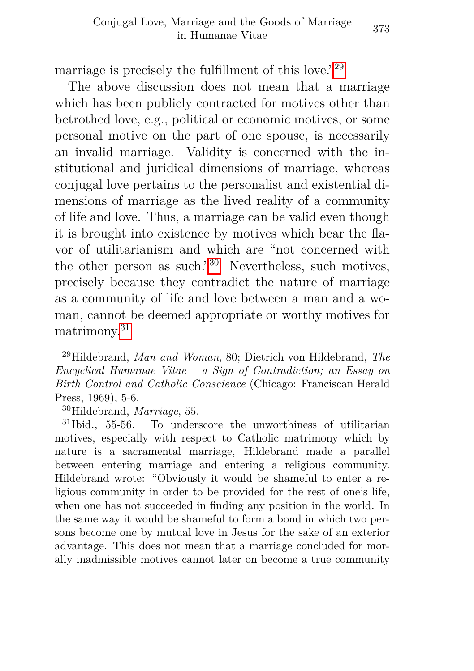marriage is precisely the fulfillment of this love."[29](#page-14-0)

The above discussion does not mean that a marriage which has been publicly contracted for motives other than betrothed love, e.g., political or economic motives, or some personal motive on the part of one spouse, is necessarily an invalid marriage. Validity is concerned with the institutional and juridical dimensions of marriage, whereas conjugal love pertains to the personalist and existential dimensions of marriage as the lived reality of a community of life and love. Thus, a marriage can be valid even though it is brought into existence by motives which bear the flavor of utilitarianism and which are "not concerned with the other person as such."[30](#page-14-1) Nevertheless, such motives, precisely because they contradict the nature of marriage as a community of life and love between a man and a woman, cannot be deemed appropriate or worthy motives for matrimony.[31](#page-14-2)

<span id="page-14-0"></span><sup>29</sup>Hildebrand, *Man and Woman*, 80; Dietrich von Hildebrand, *The Encyclical Humanae Vitae – a Sign of Contradiction; an Essay on Birth Control and Catholic Conscience* (Chicago: Franciscan Herald Press, 1969), 5-6.

<span id="page-14-2"></span><span id="page-14-1"></span><sup>30</sup>Hildebrand, *Marriage*, 55.

<sup>31</sup>Ibid., 55-56. To underscore the unworthiness of utilitarian motives, especially with respect to Catholic matrimony which by nature is a sacramental marriage, Hildebrand made a parallel between entering marriage and entering a religious community. Hildebrand wrote: "Obviously it would be shameful to enter a religious community in order to be provided for the rest of one's life, when one has not succeeded in finding any position in the world. In the same way it would be shameful to form a bond in which two persons become one by mutual love in Jesus for the sake of an exterior advantage. This does not mean that a marriage concluded for morally inadmissible motives cannot later on become a true community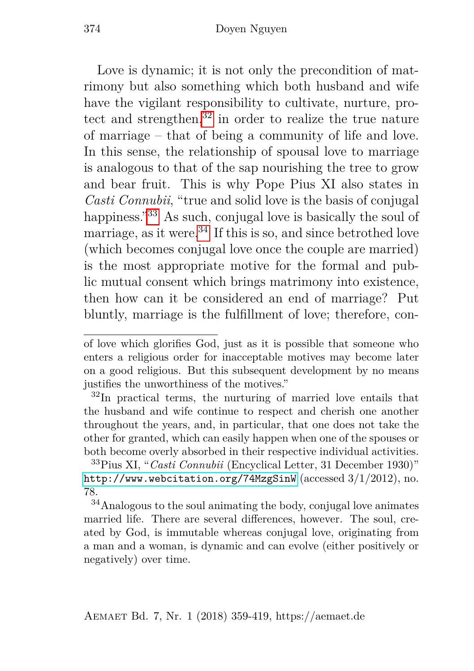Love is dynamic; it is not only the precondition of matrimony but also something which both husband and wife have the vigilant responsibility to cultivate, nurture, protect and strengthen, $32$  in order to realize the true nature of marriage – that of being a community of life and love. In this sense, the relationship of spousal love to marriage is analogous to that of the sap nourishing the tree to grow and bear fruit. This is why Pope Pius XI also states in *Casti Connubii*, "true and solid love is the basis of conjugal happiness."<sup>[33](#page-15-1)</sup> As such, conjugal love is basically the soul of marriage, as it were. $34$  If this is so, and since betrothed love (which becomes conjugal love once the couple are married) is the most appropriate motive for the formal and public mutual consent which brings matrimony into existence, then how can it be considered an end of marriage? Put bluntly, marriage is the fulfillment of love; therefore, con-

of love which glorifies God, just as it is possible that someone who enters a religious order for inacceptable motives may become later on a good religious. But this subsequent development by no means justifies the unworthiness of the motives."

<span id="page-15-0"></span><sup>32</sup>In practical terms, the nurturing of married love entails that the husband and wife continue to respect and cherish one another throughout the years, and, in particular, that one does not take the other for granted, which can easily happen when one of the spouses or both become overly absorbed in their respective individual activities.

<span id="page-15-1"></span><sup>33</sup>Pius XI, "*Casti Connubii* (Encyclical Letter, 31 December 1930)" <http://www.webcitation.org/74MzgSinW> (accessed 3/1/2012), no. 78.

<span id="page-15-2"></span><sup>34</sup>Analogous to the soul animating the body, conjugal love animates married life. There are several differences, however. The soul, created by God, is immutable whereas conjugal love, originating from a man and a woman, is dynamic and can evolve (either positively or negatively) over time.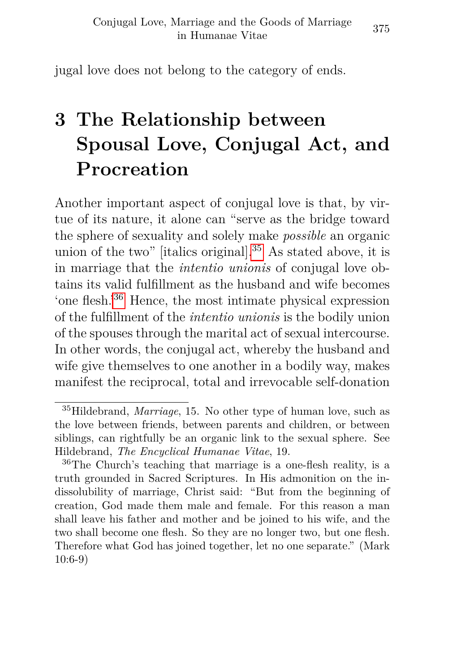jugal love does not belong to the category of ends.

## <span id="page-16-0"></span>**3 The Relationship between Spousal Love, Conjugal Act, and Procreation**

Another important aspect of conjugal love is that, by virtue of its nature, it alone can "serve as the bridge toward the sphere of sexuality and solely make *possible* an organic union of the two" [italics original].<sup>[35](#page-16-1)</sup> As stated above, it is in marriage that the *intentio unionis* of conjugal love obtains its valid fulfillment as the husband and wife becomes 'one flesh.'[36](#page-16-2) Hence, the most intimate physical expression of the fulfillment of the *intentio unionis* is the bodily union of the spouses through the marital act of sexual intercourse. In other words, the conjugal act, whereby the husband and wife give themselves to one another in a bodily way, makes manifest the reciprocal, total and irrevocable self-donation

<span id="page-16-1"></span><sup>35</sup>Hildebrand, *Marriage*, 15. No other type of human love, such as the love between friends, between parents and children, or between siblings, can rightfully be an organic link to the sexual sphere. See Hildebrand, *The Encyclical Humanae Vitae*, 19.

<span id="page-16-2"></span><sup>36</sup>The Church's teaching that marriage is a one-flesh reality, is a truth grounded in Sacred Scriptures. In His admonition on the indissolubility of marriage, Christ said: "But from the beginning of creation, God made them male and female. For this reason a man shall leave his father and mother and be joined to his wife, and the two shall become one flesh. So they are no longer two, but one flesh. Therefore what God has joined together, let no one separate." (Mark 10:6-9)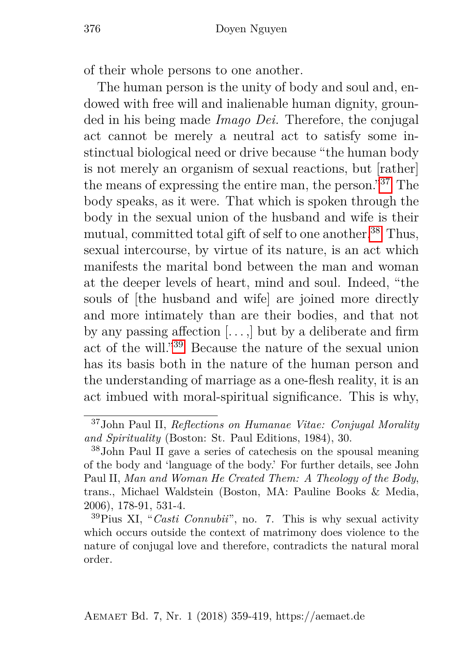of their whole persons to one another.

The human person is the unity of body and soul and, endowed with free will and inalienable human dignity, grounded in his being made *Imago Dei.* Therefore, the conjugal act cannot be merely a neutral act to satisfy some instinctual biological need or drive because "the human body is not merely an organism of sexual reactions, but [rather] the means of expressing the entire man, the person."[37](#page-17-0) The body speaks, as it were. That which is spoken through the body in the sexual union of the husband and wife is their mutual, committed total gift of self to one another.<sup>[38](#page-17-1)</sup> Thus, sexual intercourse, by virtue of its nature, is an act which manifests the marital bond between the man and woman at the deeper levels of heart, mind and soul. Indeed, "the souls of [the husband and wife] are joined more directly and more intimately than are their bodies, and that not by any passing affection  $[\,\ldots\,]$  but by a deliberate and firm act of the will."[39](#page-17-2) Because the nature of the sexual union has its basis both in the nature of the human person and the understanding of marriage as a one-flesh reality, it is an act imbued with moral-spiritual significance. This is why,

<span id="page-17-0"></span><sup>37</sup>John Paul II, *Reflections on Humanae Vitae: Conjugal Morality and Spirituality* (Boston: St. Paul Editions, 1984), 30.

<span id="page-17-1"></span><sup>38</sup>John Paul II gave a series of catechesis on the spousal meaning of the body and 'language of the body.' For further details, see John Paul II, *Man and Woman He Created Them: A Theology of the Body*, trans., Michael Waldstein (Boston, MA: Pauline Books & Media, 2006), 178-91, 531-4.

<span id="page-17-2"></span><sup>39</sup>Pius XI, "*Casti Connubii*", no. 7. This is why sexual activity which occurs outside the context of matrimony does violence to the nature of conjugal love and therefore, contradicts the natural moral order.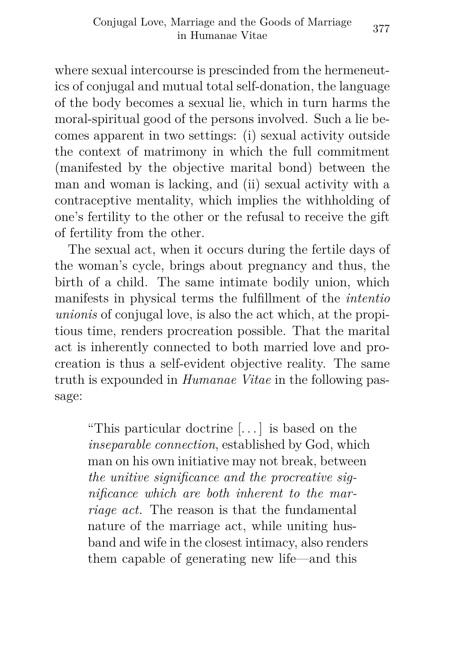where sexual intercourse is prescinded from the hermeneutics of conjugal and mutual total self-donation, the language of the body becomes a sexual lie, which in turn harms the moral-spiritual good of the persons involved. Such a lie becomes apparent in two settings: (i) sexual activity outside the context of matrimony in which the full commitment (manifested by the objective marital bond) between the man and woman is lacking, and (ii) sexual activity with a contraceptive mentality, which implies the withholding of one's fertility to the other or the refusal to receive the gift of fertility from the other.

The sexual act, when it occurs during the fertile days of the woman's cycle, brings about pregnancy and thus, the birth of a child. The same intimate bodily union, which manifests in physical terms the fulfillment of the *intentio unionis* of conjugal love, is also the act which, at the propitious time, renders procreation possible. That the marital act is inherently connected to both married love and procreation is thus a self-evident objective reality. The same truth is expounded in *Humanae Vitae* in the following passage:

"This particular doctrine [. . . ] is based on the *inseparable connection*, established by God, which man on his own initiative may not break, between *the unitive significance and the procreative significance which are both inherent to the marriage act.* The reason is that the fundamental nature of the marriage act, while uniting husband and wife in the closest intimacy, also renders them capable of generating new life—and this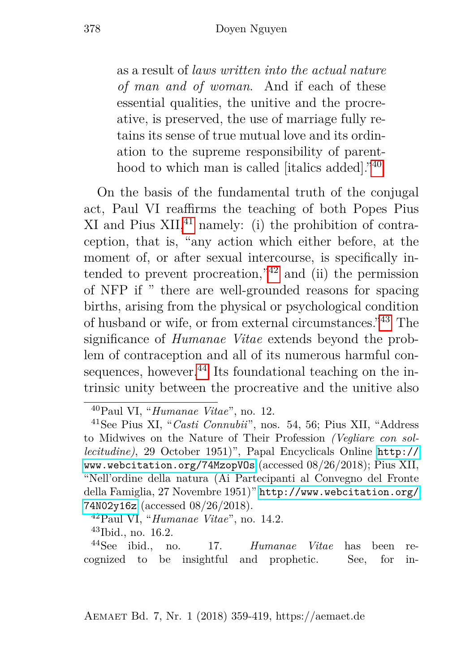as a result of *laws written into the actual nature of man and of woman*. And if each of these essential qualities, the unitive and the procreative, is preserved, the use of marriage fully retains its sense of true mutual love and its ordination to the supreme responsibility of parenthood to which man is called [italics added]."[40](#page-19-0)

On the basis of the fundamental truth of the conjugal act, Paul VI reaffirms the teaching of both Popes Pius  $XI$  and Pius  $XII$ ,<sup>[41](#page-19-1)</sup> namely: (i) the prohibition of contraception, that is, "any action which either before, at the moment of, or after sexual intercourse, is specifically intended to prevent procreation," $42$  and (ii) the permission of NFP if " there are well-grounded reasons for spacing births, arising from the physical or psychological condition of husband or wife, or from external circumstances."[43](#page-19-3) The significance of *Humanae Vitae* extends beyond the problem of contraception and all of its numerous harmful con-sequences, however.<sup>[44](#page-19-4)</sup> Its foundational teaching on the intrinsic unity between the procreative and the unitive also

<span id="page-19-4"></span><span id="page-19-3"></span><sup>43</sup>Ibid., no. 16.2.

<sup>44</sup>See ibid., no. 17. *Humanae Vitae* has been recognized to be insightful and prophetic. See, for in-

<span id="page-19-1"></span><span id="page-19-0"></span><sup>40</sup>Paul VI, "*Humanae Vitae*", no. 12.

<sup>41</sup>See Pius XI, "*Casti Connubii*", nos. 54, 56; Pius XII, "Address to Midwives on the Nature of Their Profession *(Vegliare con sollecitudine)*, 29 October 1951)", Papal Encyclicals Online [http://](http://www.webcitation.org/74MzopVOs) [www.webcitation.org/74MzopVOs](http://www.webcitation.org/74MzopVOs) (accessed 08/26/2018); Pius XII, "Nell'ordine della natura (Ai Partecipanti al Convegno del Fronte della Famiglia, 27 Novembre 1951)" [http://www.webcitation.org/](http://www.webcitation.org/74N02y16z) [74N02y16z](http://www.webcitation.org/74N02y16z) (accessed 08/26/2018).

<span id="page-19-2"></span><sup>42</sup>Paul VI, "*Humanae Vitae*", no. 14.2.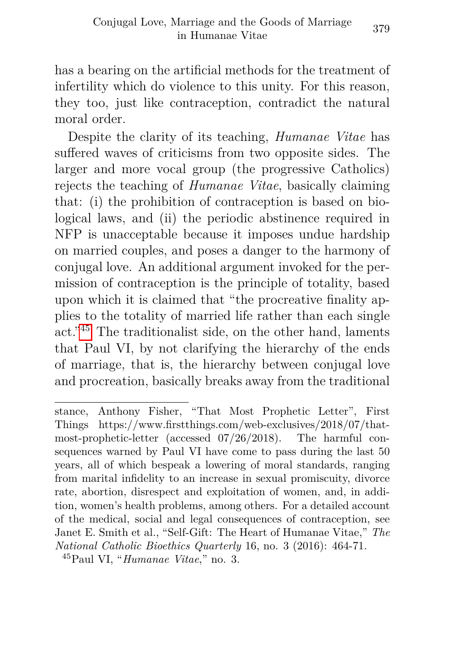has a bearing on the artificial methods for the treatment of infertility which do violence to this unity. For this reason, they too, just like contraception, contradict the natural moral order.

Despite the clarity of its teaching, *Humanae Vitae* has suffered waves of criticisms from two opposite sides. The larger and more vocal group (the progressive Catholics) rejects the teaching of *Humanae Vitae*, basically claiming that: (i) the prohibition of contraception is based on biological laws, and (ii) the periodic abstinence required in NFP is unacceptable because it imposes undue hardship on married couples, and poses a danger to the harmony of conjugal love. An additional argument invoked for the permission of contraception is the principle of totality, based upon which it is claimed that "the procreative finality applies to the totality of married life rather than each single act."[45](#page-20-0) The traditionalist side, on the other hand, laments that Paul VI, by not clarifying the hierarchy of the ends of marriage, that is, the hierarchy between conjugal love and procreation, basically breaks away from the traditional

stance, Anthony Fisher, "That Most Prophetic Letter", First Things https://www.firstthings.com/web-exclusives/2018/07/thatmost-prophetic-letter (accessed 07/26/2018). The harmful consequences warned by Paul VI have come to pass during the last 50 years, all of which bespeak a lowering of moral standards, ranging from marital infidelity to an increase in sexual promiscuity, divorce rate, abortion, disrespect and exploitation of women, and, in addition, women's health problems, among others. For a detailed account of the medical, social and legal consequences of contraception, see Janet E. Smith et al., "Self-Gift: The Heart of Humanae Vitae," *The National Catholic Bioethics Quarterly* 16, no. 3 (2016): 464-71.

<span id="page-20-0"></span><sup>45</sup>Paul VI, "*Humanae Vitae*," no. 3.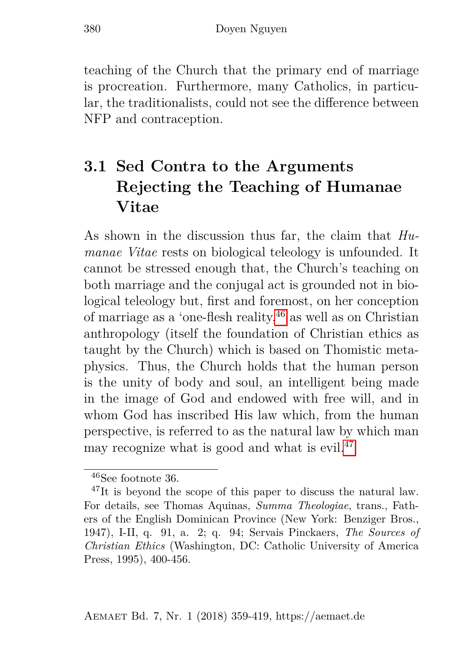teaching of the Church that the primary end of marriage is procreation. Furthermore, many Catholics, in particular, the traditionalists, could not see the difference between NFP and contraception.

### <span id="page-21-0"></span>**3.1 Sed Contra to the Arguments Rejecting the Teaching of Humanae Vitae**

As shown in the discussion thus far, the claim that *Humanae Vitae* rests on biological teleology is unfounded. It cannot be stressed enough that, the Church's teaching on both marriage and the conjugal act is grounded not in biological teleology but, first and foremost, on her conception of marriage as a 'one-flesh reality,  $46$  as well as on Christian anthropology (itself the foundation of Christian ethics as taught by the Church) which is based on Thomistic metaphysics. Thus, the Church holds that the human person is the unity of body and soul, an intelligent being made in the image of God and endowed with free will, and in whom God has inscribed His law which, from the human perspective, is referred to as the natural law by which man may recognize what is good and what is evil. $47$ 

<span id="page-21-2"></span><span id="page-21-1"></span><sup>46</sup>See footnote 36.

<sup>&</sup>lt;sup>47</sup>It is beyond the scope of this paper to discuss the natural law. For details, see Thomas Aquinas, *Summa Theologiae*, trans., Fathers of the English Dominican Province (New York: Benziger Bros., 1947), I-II, q. 91, a. 2; q. 94; Servais Pinckaers, *The Sources of Christian Ethics* (Washington, DC: Catholic University of America Press, 1995), 400-456.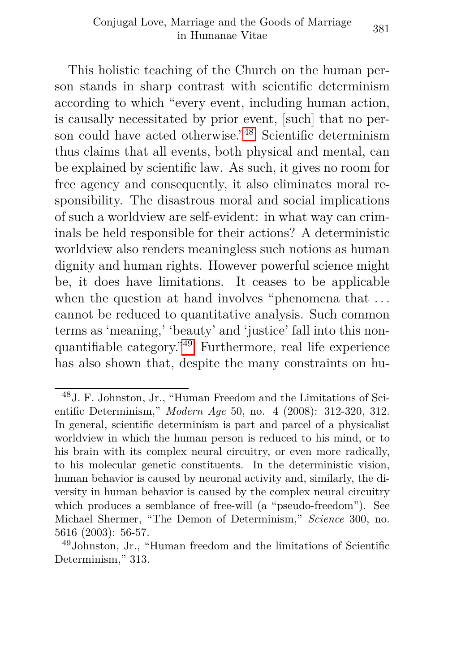This holistic teaching of the Church on the human person stands in sharp contrast with scientific determinism according to which "every event, including human action, is causally necessitated by prior event, [such] that no person could have acted otherwise."[48](#page-22-0) Scientific determinism thus claims that all events, both physical and mental, can be explained by scientific law. As such, it gives no room for free agency and consequently, it also eliminates moral responsibility. The disastrous moral and social implications of such a worldview are self-evident: in what way can criminals be held responsible for their actions? A deterministic worldview also renders meaningless such notions as human dignity and human rights. However powerful science might be, it does have limitations. It ceases to be applicable when the question at hand involves "phenomena that ... cannot be reduced to quantitative analysis. Such common terms as 'meaning,' 'beauty' and 'justice' fall into this nonquantifiable category."[49](#page-22-1) Furthermore, real life experience has also shown that, despite the many constraints on hu-

<span id="page-22-0"></span><sup>48</sup>J. F. Johnston, Jr., "Human Freedom and the Limitations of Scientific Determinism," *Modern Age* 50, no. 4 (2008): 312-320, 312. In general, scientific determinism is part and parcel of a physicalist worldview in which the human person is reduced to his mind, or to his brain with its complex neural circuitry, or even more radically, to his molecular genetic constituents. In the deterministic vision, human behavior is caused by neuronal activity and, similarly, the diversity in human behavior is caused by the complex neural circuitry which produces a semblance of free-will (a "pseudo-freedom"). See Michael Shermer, "The Demon of Determinism," *Science* 300, no. 5616 (2003): 56-57.

<span id="page-22-1"></span><sup>49</sup>Johnston, Jr., "Human freedom and the limitations of Scientific Determinism," 313.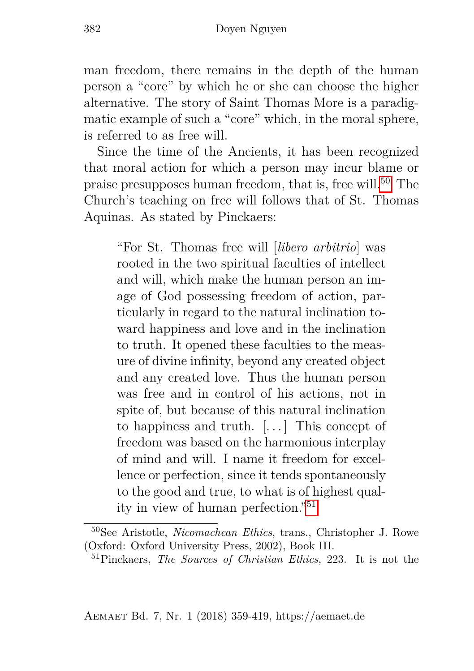man freedom, there remains in the depth of the human person a "core" by which he or she can choose the higher alternative. The story of Saint Thomas More is a paradigmatic example of such a "core" which, in the moral sphere, is referred to as free will.

Since the time of the Ancients, it has been recognized that moral action for which a person may incur blame or praise presupposes human freedom, that is, free will.[50](#page-23-0) The Church's teaching on free will follows that of St. Thomas Aquinas. As stated by Pinckaers:

"For St. Thomas free will [*libero arbitrio*] was rooted in the two spiritual faculties of intellect and will, which make the human person an image of God possessing freedom of action, particularly in regard to the natural inclination toward happiness and love and in the inclination to truth. It opened these faculties to the measure of divine infinity, beyond any created object and any created love. Thus the human person was free and in control of his actions, not in spite of, but because of this natural inclination to happiness and truth. [. . . ] This concept of freedom was based on the harmonious interplay of mind and will. I name it freedom for excellence or perfection, since it tends spontaneously to the good and true, to what is of highest quality in view of human perfection."[51](#page-23-1)

Aemaet Bd. 7, Nr. 1 (2018) 359-419, https://aemaet.de

<span id="page-23-0"></span><sup>50</sup>See Aristotle, *Nicomachean Ethics*, trans., Christopher J. Rowe (Oxford: Oxford University Press, 2002), Book III.

<span id="page-23-1"></span><sup>51</sup>Pinckaers, *The Sources of Christian Ethics*, 223. It is not the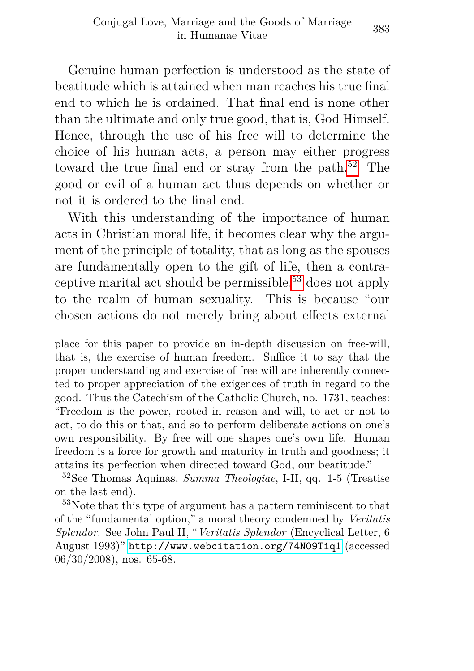Genuine human perfection is understood as the state of beatitude which is attained when man reaches his true final end to which he is ordained. That final end is none other than the ultimate and only true good, that is, God Himself. Hence, through the use of his free will to determine the choice of his human acts, a person may either progress toward the true final end or stray from the path.<sup>[52](#page-24-0)</sup> The good or evil of a human act thus depends on whether or not it is ordered to the final end.

With this understanding of the importance of human acts in Christian moral life, it becomes clear why the argument of the principle of totality, that as long as the spouses are fundamentally open to the gift of life, then a contraceptive marital act should be permissible,[53](#page-24-1) does not apply to the realm of human sexuality. This is because "our chosen actions do not merely bring about effects external

place for this paper to provide an in-depth discussion on free-will, that is, the exercise of human freedom. Suffice it to say that the proper understanding and exercise of free will are inherently connected to proper appreciation of the exigences of truth in regard to the good. Thus the Catechism of the Catholic Church, no. 1731, teaches: "Freedom is the power, rooted in reason and will, to act or not to act, to do this or that, and so to perform deliberate actions on one's own responsibility. By free will one shapes one's own life. Human freedom is a force for growth and maturity in truth and goodness; it attains its perfection when directed toward God, our beatitude."

<span id="page-24-0"></span><sup>52</sup>See Thomas Aquinas, *Summa Theologiae*, I-II, qq. 1-5 (Treatise on the last end).

<span id="page-24-1"></span><sup>53</sup>Note that this type of argument has a pattern reminiscent to that of the "fundamental option," a moral theory condemned by *Veritatis Splendor*. See John Paul II, "*Veritatis Splendor* (Encyclical Letter, 6 August 1993)" <http://www.webcitation.org/74N09Tiq1> (accessed 06/30/2008), nos. 65-68.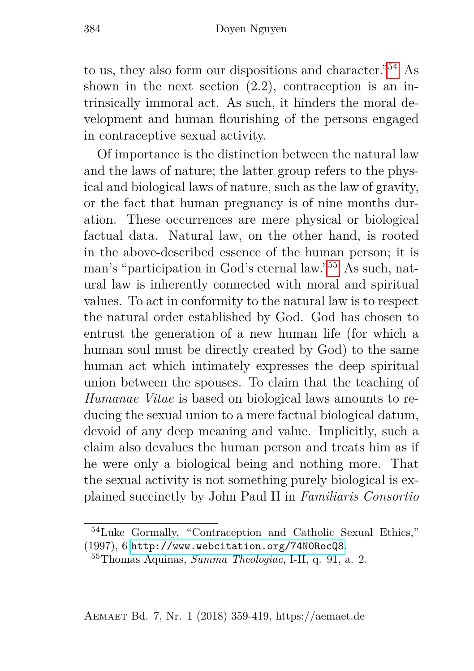to us, they also form our dispositions and character."[54](#page-25-0) As shown in the next section  $(2.2)$ , contraception is an intrinsically immoral act. As such, it hinders the moral development and human flourishing of the persons engaged in contraceptive sexual activity.

Of importance is the distinction between the natural law and the laws of nature; the latter group refers to the physical and biological laws of nature, such as the law of gravity, or the fact that human pregnancy is of nine months duration. These occurrences are mere physical or biological factual data. Natural law, on the other hand, is rooted in the above-described essence of the human person; it is man's "participation in God's eternal law."[55](#page-25-1) As such, natural law is inherently connected with moral and spiritual values. To act in conformity to the natural law is to respect the natural order established by God. God has chosen to entrust the generation of a new human life (for which a human soul must be directly created by God) to the same human act which intimately expresses the deep spiritual union between the spouses. To claim that the teaching of *Humanae Vitae* is based on biological laws amounts to reducing the sexual union to a mere factual biological datum, devoid of any deep meaning and value. Implicitly, such a claim also devalues the human person and treats him as if he were only a biological being and nothing more. That the sexual activity is not something purely biological is explained succinctly by John Paul II in *Familiaris Consortio*

<span id="page-25-0"></span><sup>54</sup>Luke Gormally, "Contraception and Catholic Sexual Ethics," (1997), 6 <http://www.webcitation.org/74N0RocQ8>.

<span id="page-25-1"></span><sup>55</sup>Thomas Aquinas, *Summa Theologiae*, I-II, q. 91, a. 2.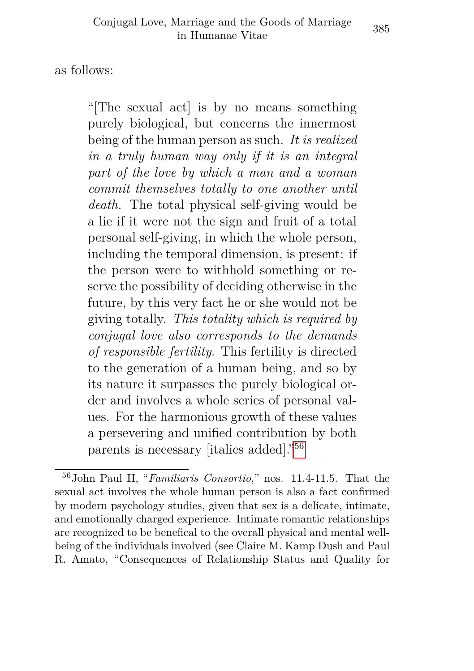as follows:

"[The sexual act] is by no means something purely biological, but concerns the innermost being of the human person as such. *It is realized in a truly human way only if it is an integral part of the love by which a man and a woman commit themselves totally to one another until death.* The total physical self-giving would be a lie if it were not the sign and fruit of a total personal self-giving, in which the whole person, including the temporal dimension, is present: if the person were to withhold something or reserve the possibility of deciding otherwise in the future, by this very fact he or she would not be giving totally. *This totality which is required by conjugal love also corresponds to the demands of responsible fertility*. This fertility is directed to the generation of a human being, and so by its nature it surpasses the purely biological order and involves a whole series of personal values. For the harmonious growth of these values a persevering and unified contribution by both parents is necessary [italics added]."[56](#page-26-0)

<span id="page-26-0"></span><sup>56</sup>John Paul II, "*Familiaris Consortio*," nos. 11.4-11.5. That the sexual act involves the whole human person is also a fact confirmed by modern psychology studies, given that sex is a delicate, intimate, and emotionally charged experience. Intimate romantic relationships are recognized to be benefical to the overall physical and mental wellbeing of the individuals involved (see Claire M. Kamp Dush and Paul R. Amato, "Consequences of Relationship Status and Quality for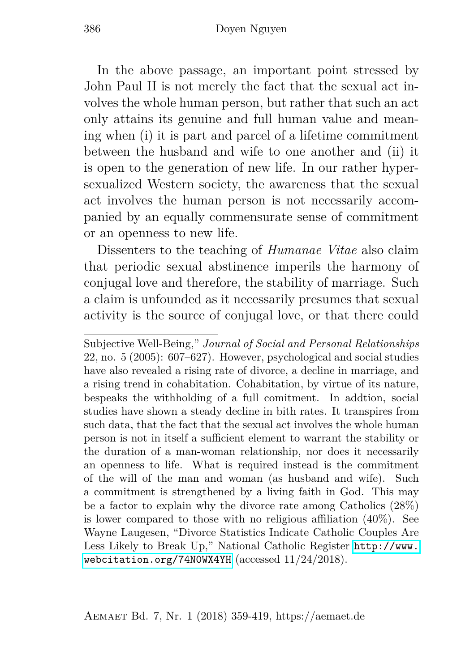In the above passage, an important point stressed by John Paul II is not merely the fact that the sexual act involves the whole human person, but rather that such an act only attains its genuine and full human value and meaning when (i) it is part and parcel of a lifetime commitment between the husband and wife to one another and (ii) it is open to the generation of new life. In our rather hypersexualized Western society, the awareness that the sexual act involves the human person is not necessarily accompanied by an equally commensurate sense of commitment or an openness to new life.

Dissenters to the teaching of *Humanae Vitae* also claim that periodic sexual abstinence imperils the harmony of conjugal love and therefore, the stability of marriage. Such a claim is unfounded as it necessarily presumes that sexual activity is the source of conjugal love, or that there could

Subjective Well-Being," *Journal of Social and Personal Relationships* 22, no. 5 (2005): 607–627). However, psychological and social studies have also revealed a rising rate of divorce, a decline in marriage, and a rising trend in cohabitation. Cohabitation, by virtue of its nature, bespeaks the withholding of a full comitment. In addtion, social studies have shown a steady decline in bith rates. It transpires from such data, that the fact that the sexual act involves the whole human person is not in itself a sufficient element to warrant the stability or the duration of a man-woman relationship, nor does it necessarily an openness to life. What is required instead is the commitment of the will of the man and woman (as husband and wife). Such a commitment is strengthened by a living faith in God. This may be a factor to explain why the divorce rate among Catholics (28%) is lower compared to those with no religious affiliation (40%). See Wayne Laugesen, "Divorce Statistics Indicate Catholic Couples Are Less Likely to Break Up," National Catholic Register [http://www.](http://www.webcitation.org/74N0WX4YH) [webcitation.org/74N0WX4YH](http://www.webcitation.org/74N0WX4YH) (accessed 11/24/2018).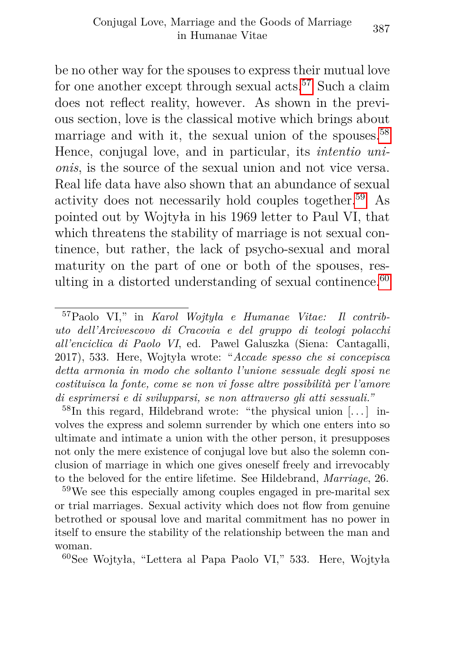be no other way for the spouses to express their mutual love for one another except through sexual acts.<sup>[57](#page-28-0)</sup> Such a claim does not reflect reality, however. As shown in the previous section, love is the classical motive which brings about marriage and with it, the sexual union of the spouses.<sup>[58](#page-28-1)</sup> Hence, conjugal love, and in particular, its *intentio unionis*, is the source of the sexual union and not vice versa. Real life data have also shown that an abundance of sexual activity does not necessarily hold couples together.[59](#page-28-2) As pointed out by Wojtyła in his 1969 letter to Paul VI, that which threatens the stability of marriage is not sexual continence, but rather, the lack of psycho-sexual and moral maturity on the part of one or both of the spouses, resulting in a distorted understanding of sexual continence. $60$ 

<span id="page-28-3"></span><sup>60</sup>See Wojtyła, "Lettera al Papa Paolo VI," 533. Here, Wojtyła

<span id="page-28-0"></span><sup>57</sup>Paolo VI," in *Karol Wojtyła e Humanae Vitae: Il contributo dell'Arcivescovo di Cracovia e del gruppo di teologi polacchi all'enciclica di Paolo VI*, ed. Pawel Galuszka (Siena: Cantagalli, 2017), 533. Here, Wojtyła wrote: "*Accade spesso che si concepisca detta armonia in modo che soltanto l'unione sessuale degli sposi ne costituisca la fonte, come se non vi fosse altre possibilità per l'amore di esprimersi e di svilupparsi, se non attraverso gli atti sessuali."*

<span id="page-28-1"></span> $58$ In this regard, Hildebrand wrote: "the physical union [...] involves the express and solemn surrender by which one enters into so ultimate and intimate a union with the other person, it presupposes not only the mere existence of conjugal love but also the solemn conclusion of marriage in which one gives oneself freely and irrevocably to the beloved for the entire lifetime. See Hildebrand, *Marriage*, 26.

<span id="page-28-2"></span><sup>59</sup>We see this especially among couples engaged in pre-marital sex or trial marriages. Sexual activity which does not flow from genuine betrothed or spousal love and marital commitment has no power in itself to ensure the stability of the relationship between the man and woman.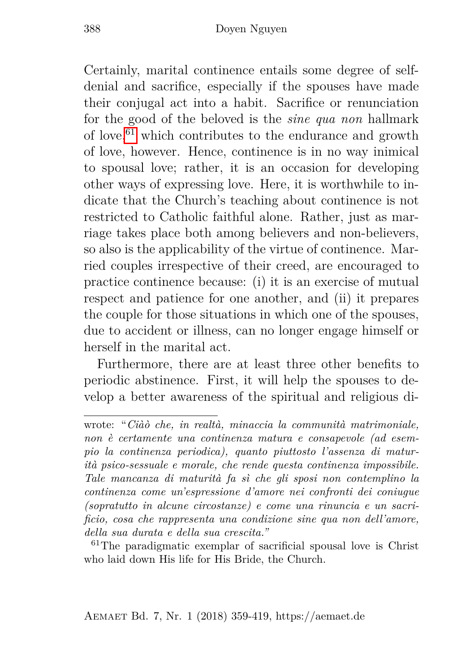Certainly, marital continence entails some degree of selfdenial and sacrifice, especially if the spouses have made their conjugal act into a habit. Sacrifice or renunciation for the good of the beloved is the *sine qua non* hallmark of love,  $61$  which contributes to the endurance and growth of love, however. Hence, continence is in no way inimical to spousal love; rather, it is an occasion for developing other ways of expressing love. Here, it is worthwhile to indicate that the Church's teaching about continence is not restricted to Catholic faithful alone. Rather, just as marriage takes place both among believers and non-believers, so also is the applicability of the virtue of continence. Married couples irrespective of their creed, are encouraged to practice continence because: (i) it is an exercise of mutual respect and patience for one another, and (ii) it prepares the couple for those situations in which one of the spouses, due to accident or illness, can no longer engage himself or herself in the marital act.

Furthermore, there are at least three other benefits to periodic abstinence. First, it will help the spouses to develop a better awareness of the spiritual and religious di-

wrote: "*Ciàò che, in realtà, minaccia la communità matrimoniale, non è certamente una continenza matura e consapevole (ad esempio la continenza periodica), quanto piuttosto l'assenza di maturità psico-sessuale e morale, che rende questa continenza impossibile. Tale mancanza di maturità fa sì che gli sposi non contemplino la continenza come un'espressione d'amore nei confronti dei coniugue (sopratutto in alcune circostanze) e come una rinuncia e un sacrificio, cosa che rappresenta una condizione sine qua non dell'amore, della sua durata e della sua crescita."*

<span id="page-29-0"></span><sup>61</sup>The paradigmatic exemplar of sacrificial spousal love is Christ who laid down His life for His Bride, the Church.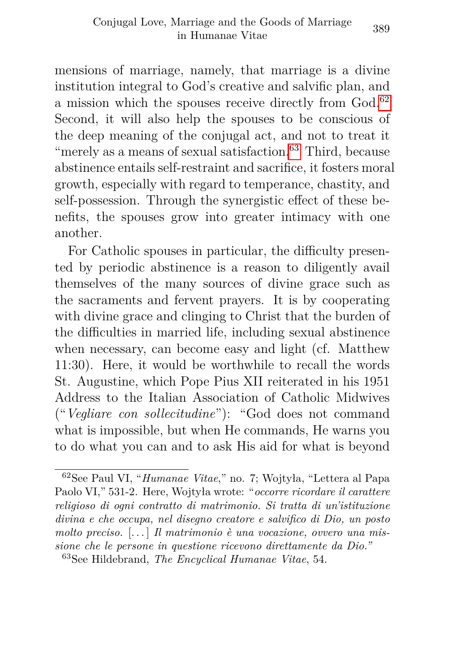mensions of marriage, namely, that marriage is a divine institution integral to God's creative and salvific plan, and a mission which the spouses receive directly from God.[62](#page-30-0) Second, it will also help the spouses to be conscious of the deep meaning of the conjugal act, and not to treat it "merely as a means of sexual satisfaction. $63$  Third, because abstinence entails self-restraint and sacrifice, it fosters moral growth, especially with regard to temperance, chastity, and self-possession. Through the synergistic effect of these benefits, the spouses grow into greater intimacy with one another.

For Catholic spouses in particular, the difficulty presented by periodic abstinence is a reason to diligently avail themselves of the many sources of divine grace such as the sacraments and fervent prayers. It is by cooperating with divine grace and clinging to Christ that the burden of the difficulties in married life, including sexual abstinence when necessary, can become easy and light (cf. Matthew 11:30). Here, it would be worthwhile to recall the words St. Augustine, which Pope Pius XII reiterated in his 1951 Address to the Italian Association of Catholic Midwives ("*Vegliare con sollecitudine*"): "God does not command what is impossible, but when He commands, He warns you to do what you can and to ask His aid for what is beyond

<span id="page-30-0"></span><sup>62</sup>See Paul VI, "*Humanae Vitae*," no. 7; Wojtyła, "Lettera al Papa Paolo VI," 531-2. Here, Wojtyła wrote: "*occorre ricordare il carattere religioso di ogni contratto di matrimonio. Si tratta di un'istituzione divina e che occupa, nel disegno creatore e salvifico di Dio, un posto molto preciso.* [. . . ] *Il matrimonio è una vocazione, ovvero una missione che le persone in questione ricevono direttamente da Dio."*

<span id="page-30-1"></span><sup>63</sup>See Hildebrand, *The Encyclical Humanae Vitae*, 54.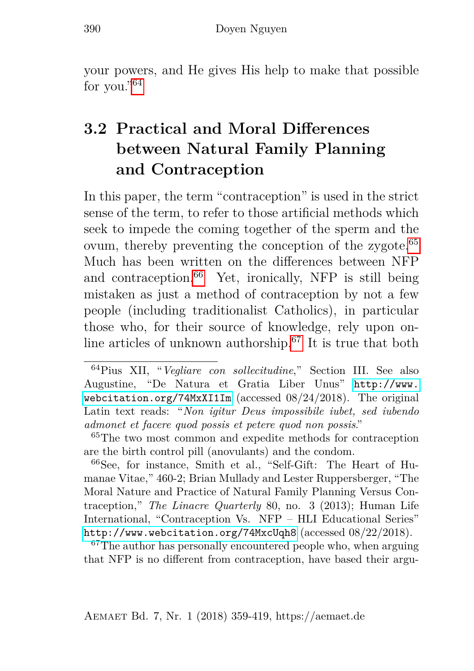your powers, and He gives His help to make that possible for you."<sup>[64](#page-31-1)</sup>

### <span id="page-31-0"></span>**3.2 Practical and Moral Differences between Natural Family Planning and Contraception**

In this paper, the term "contraception" is used in the strict sense of the term, to refer to those artificial methods which seek to impede the coming together of the sperm and the ovum, thereby preventing the conception of the zygote.<sup>[65](#page-31-2)</sup> Much has been written on the differences between NFP and contraception.<sup>[66](#page-31-3)</sup> Yet, ironically, NFP is still being mistaken as just a method of contraception by not a few people (including traditionalist Catholics), in particular those who, for their source of knowledge, rely upon on-line articles of unknown authorship.<sup>[67](#page-31-4)</sup> It is true that both

<span id="page-31-2"></span><sup>65</sup>The two most common and expedite methods for contraception are the birth control pill (anovulants) and the condom.

<span id="page-31-3"></span><sup>66</sup>See, for instance, Smith et al., "Self-Gift: The Heart of Humanae Vitae," 460-2; Brian Mullady and Lester Ruppersberger, "The Moral Nature and Practice of Natural Family Planning Versus Contraception," *The Linacre Quarterly* 80, no. 3 (2013); Human Life International, "Contraception Vs. NFP – HLI Educational Series" <http://www.webcitation.org/74MxcUqh8> (accessed 08/22/2018).

<span id="page-31-4"></span><sup>67</sup>The author has personally encountered people who, when arguing that NFP is no different from contraception, have based their argu-

<span id="page-31-1"></span><sup>64</sup>Pius XII, "*Vegliare con sollecitudine*," Section III. See also Augustine, "De Natura et Gratia Liber Unus" [http://www.](http://www.webcitation.org/74MxXI1Im) [webcitation.org/74MxXI1Im](http://www.webcitation.org/74MxXI1Im) (accessed 08/24/2018). The original Latin text reads: "*Non igitur Deus impossibile iubet, sed iubendo admonet et facere quod possis et petere quod non possis*."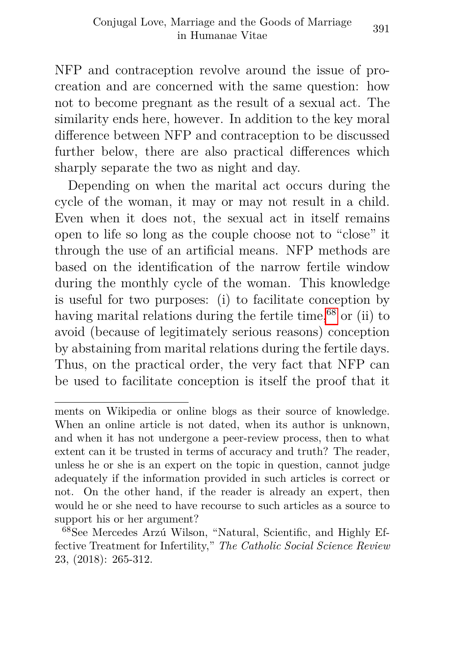NFP and contraception revolve around the issue of procreation and are concerned with the same question: how not to become pregnant as the result of a sexual act. The similarity ends here, however. In addition to the key moral difference between NFP and contraception to be discussed further below, there are also practical differences which sharply separate the two as night and day.

Depending on when the marital act occurs during the cycle of the woman, it may or may not result in a child. Even when it does not, the sexual act in itself remains open to life so long as the couple choose not to "close" it through the use of an artificial means. NFP methods are based on the identification of the narrow fertile window during the monthly cycle of the woman. This knowledge is useful for two purposes: (i) to facilitate conception by having marital relations during the fertile time,  $68$  or (ii) to avoid (because of legitimately serious reasons) conception by abstaining from marital relations during the fertile days. Thus, on the practical order, the very fact that NFP can be used to facilitate conception is itself the proof that it

ments on Wikipedia or online blogs as their source of knowledge. When an online article is not dated, when its author is unknown, and when it has not undergone a peer-review process, then to what extent can it be trusted in terms of accuracy and truth? The reader, unless he or she is an expert on the topic in question, cannot judge adequately if the information provided in such articles is correct or not. On the other hand, if the reader is already an expert, then would he or she need to have recourse to such articles as a source to support his or her argument?

<span id="page-32-0"></span><sup>68</sup>See Mercedes Arzú Wilson, "Natural, Scientific, and Highly Effective Treatment for Infertility," *The Catholic Social Science Review* 23, (2018): 265-312.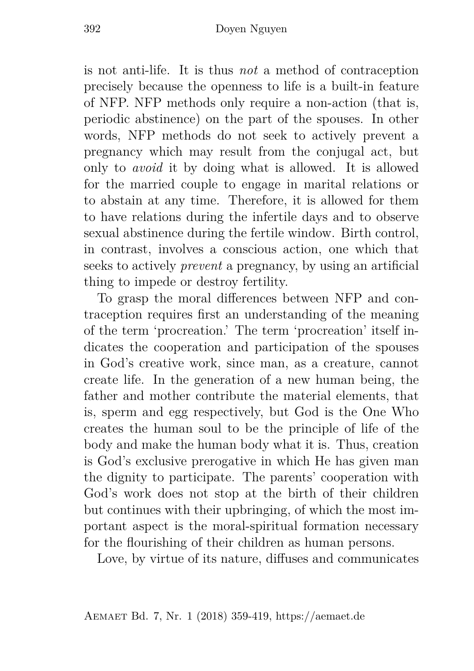is not anti-life. It is thus *not* a method of contraception precisely because the openness to life is a built-in feature of NFP. NFP methods only require a non-action (that is, periodic abstinence) on the part of the spouses. In other words, NFP methods do not seek to actively prevent a pregnancy which may result from the conjugal act, but only to *avoid* it by doing what is allowed. It is allowed for the married couple to engage in marital relations or to abstain at any time. Therefore, it is allowed for them to have relations during the infertile days and to observe sexual abstinence during the fertile window. Birth control, in contrast, involves a conscious action, one which that seeks to actively *prevent* a pregnancy, by using an artificial thing to impede or destroy fertility.

To grasp the moral differences between NFP and contraception requires first an understanding of the meaning of the term 'procreation.' The term 'procreation' itself indicates the cooperation and participation of the spouses in God's creative work, since man, as a creature, cannot create life. In the generation of a new human being, the father and mother contribute the material elements, that is, sperm and egg respectively, but God is the One Who creates the human soul to be the principle of life of the body and make the human body what it is. Thus, creation is God's exclusive prerogative in which He has given man the dignity to participate. The parents' cooperation with God's work does not stop at the birth of their children but continues with their upbringing, of which the most important aspect is the moral-spiritual formation necessary for the flourishing of their children as human persons.

Love, by virtue of its nature, diffuses and communicates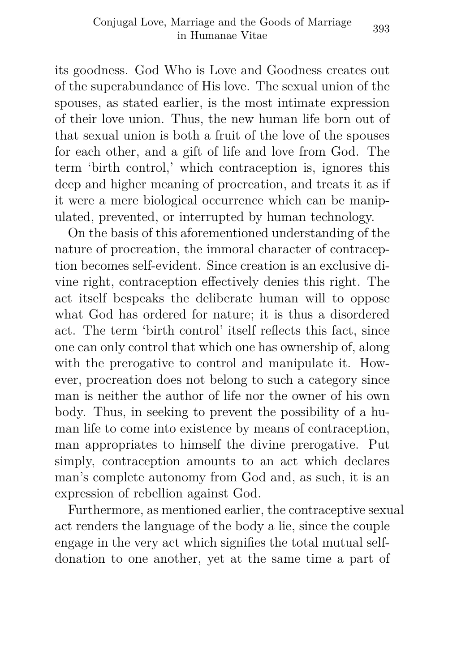its goodness. God Who is Love and Goodness creates out of the superabundance of His love. The sexual union of the spouses, as stated earlier, is the most intimate expression of their love union. Thus, the new human life born out of that sexual union is both a fruit of the love of the spouses for each other, and a gift of life and love from God. The term 'birth control,' which contraception is, ignores this deep and higher meaning of procreation, and treats it as if it were a mere biological occurrence which can be manipulated, prevented, or interrupted by human technology.

On the basis of this aforementioned understanding of the nature of procreation, the immoral character of contraception becomes self-evident. Since creation is an exclusive divine right, contraception effectively denies this right. The act itself bespeaks the deliberate human will to oppose what God has ordered for nature; it is thus a disordered act. The term 'birth control' itself reflects this fact, since one can only control that which one has ownership of, along with the prerogative to control and manipulate it. However, procreation does not belong to such a category since man is neither the author of life nor the owner of his own body. Thus, in seeking to prevent the possibility of a human life to come into existence by means of contraception, man appropriates to himself the divine prerogative. Put simply, contraception amounts to an act which declares man's complete autonomy from God and, as such, it is an expression of rebellion against God.

Furthermore, as mentioned earlier, the contraceptive sexual act renders the language of the body a lie, since the couple engage in the very act which signifies the total mutual selfdonation to one another, yet at the same time a part of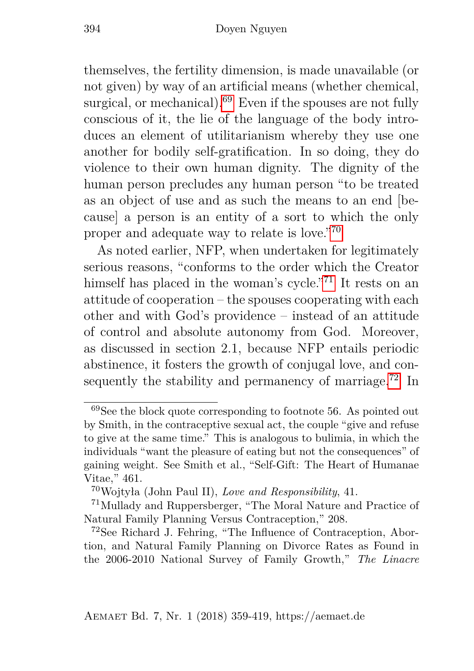themselves, the fertility dimension, is made unavailable (or not given) by way of an artificial means (whether chemical, surgical, or mechanical).<sup>[69](#page-35-0)</sup> Even if the spouses are not fully conscious of it, the lie of the language of the body introduces an element of utilitarianism whereby they use one another for bodily self-gratification. In so doing, they do violence to their own human dignity. The dignity of the human person precludes any human person "to be treated as an object of use and as such the means to an end [because] a person is an entity of a sort to which the only proper and adequate way to relate is love."[70](#page-35-1)

As noted earlier, NFP, when undertaken for legitimately serious reasons, "conforms to the order which the Creator himself has placed in the woman's cycle."<sup>[71](#page-35-2)</sup> It rests on an attitude of cooperation – the spouses cooperating with each other and with God's providence – instead of an attitude of control and absolute autonomy from God. Moreover, as discussed in section 2.1, because NFP entails periodic abstinence, it fosters the growth of conjugal love, and con-sequently the stability and permanency of marriage.<sup>[72](#page-35-3)</sup> In

<span id="page-35-0"></span> $69$ See the block quote corresponding to footnote 56. As pointed out by Smith, in the contraceptive sexual act, the couple "give and refuse to give at the same time." This is analogous to bulimia, in which the individuals "want the pleasure of eating but not the consequences" of gaining weight. See Smith et al., "Self-Gift: The Heart of Humanae Vitae," 461.

<span id="page-35-2"></span><span id="page-35-1"></span><sup>70</sup>Wojtyła (John Paul II), *Love and Responsibility*, 41.

<sup>71</sup>Mullady and Ruppersberger, "The Moral Nature and Practice of Natural Family Planning Versus Contraception," 208.

<span id="page-35-3"></span><sup>72</sup>See Richard J. Fehring, "The Influence of Contraception, Abortion, and Natural Family Planning on Divorce Rates as Found in the 2006-2010 National Survey of Family Growth," *The Linacre*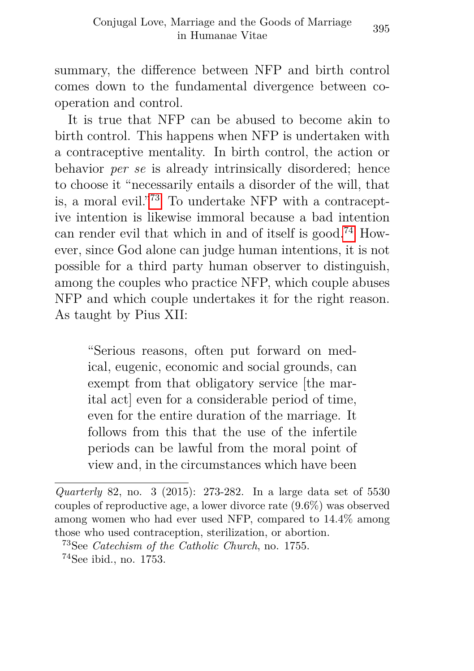summary, the difference between NFP and birth control comes down to the fundamental divergence between cooperation and control.

It is true that NFP can be abused to become akin to birth control. This happens when NFP is undertaken with a contraceptive mentality. In birth control, the action or behavior *per se* is already intrinsically disordered; hence to choose it "necessarily entails a disorder of the will, that is, a moral evil."[73](#page-36-0) To undertake NFP with a contraceptive intention is likewise immoral because a bad intention can render evil that which in and of itself is good.<sup>[74](#page-36-1)</sup> However, since God alone can judge human intentions, it is not possible for a third party human observer to distinguish, among the couples who practice NFP, which couple abuses NFP and which couple undertakes it for the right reason. As taught by Pius XII:

"Serious reasons, often put forward on medical, eugenic, economic and social grounds, can exempt from that obligatory service [the marital act] even for a considerable period of time, even for the entire duration of the marriage. It follows from this that the use of the infertile periods can be lawful from the moral point of view and, in the circumstances which have been

*Quarterly* 82, no. 3 (2015): 273-282. In a large data set of 5530 couples of reproductive age, a lower divorce rate (9.6%) was observed among women who had ever used NFP, compared to 14.4% among those who used contraception, sterilization, or abortion.

<span id="page-36-1"></span><span id="page-36-0"></span><sup>73</sup>See *Catechism of the Catholic Church*, no. 1755. <sup>74</sup>See ibid., no. 1753.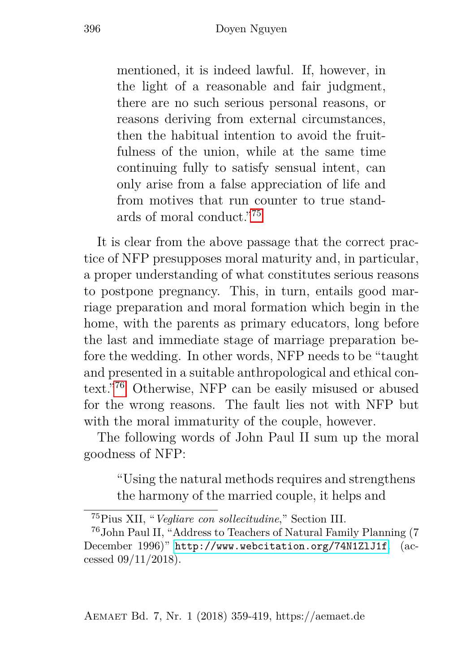mentioned, it is indeed lawful. If, however, in the light of a reasonable and fair judgment, there are no such serious personal reasons, or reasons deriving from external circumstances, then the habitual intention to avoid the fruitfulness of the union, while at the same time continuing fully to satisfy sensual intent, can only arise from a false appreciation of life and from motives that run counter to true standards of moral conduct."[75](#page-37-0)

It is clear from the above passage that the correct practice of NFP presupposes moral maturity and, in particular, a proper understanding of what constitutes serious reasons to postpone pregnancy. This, in turn, entails good marriage preparation and moral formation which begin in the home, with the parents as primary educators, long before the last and immediate stage of marriage preparation before the wedding. In other words, NFP needs to be "taught and presented in a suitable anthropological and ethical context."[76](#page-37-1) Otherwise, NFP can be easily misused or abused for the wrong reasons. The fault lies not with NFP but with the moral immaturity of the couple, however.

The following words of John Paul II sum up the moral goodness of NFP:

"Using the natural methods requires and strengthens the harmony of the married couple, it helps and

<span id="page-37-1"></span><span id="page-37-0"></span><sup>75</sup>Pius XII, "*Vegliare con sollecitudine*," Section III.

<sup>76</sup>John Paul II, "Address to Teachers of Natural Family Planning (7 December 1996)" <http://www.webcitation.org/74N1ZlJ1f>. (accessed 09/11/2018).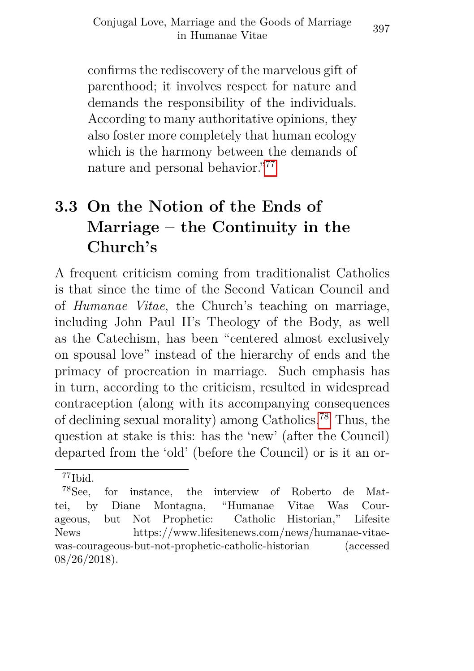confirms the rediscovery of the marvelous gift of parenthood; it involves respect for nature and demands the responsibility of the individuals. According to many authoritative opinions, they also foster more completely that human ecology which is the harmony between the demands of nature and personal behavior."[77](#page-38-1)

### <span id="page-38-0"></span>**3.3 On the Notion of the Ends of Marriage – the Continuity in the Church's**

A frequent criticism coming from traditionalist Catholics is that since the time of the Second Vatican Council and of *Humanae Vitae*, the Church's teaching on marriage, including John Paul II's Theology of the Body, as well as the Catechism, has been "centered almost exclusively on spousal love" instead of the hierarchy of ends and the primacy of procreation in marriage. Such emphasis has in turn, according to the criticism, resulted in widespread contraception (along with its accompanying consequences of declining sexual morality) among Catholics.[78](#page-38-2) Thus, the question at stake is this: has the 'new' (after the Council) departed from the 'old' (before the Council) or is it an or-

<span id="page-38-2"></span><span id="page-38-1"></span><sup>77</sup>Ibid.

<sup>78</sup>See, for instance, the interview of Roberto de Mattei, by Diane Montagna, "Humanae Vitae Was Courageous, but Not Prophetic: Catholic Historian," Lifesite News https://www.lifesitenews.com/news/humanae-vitaewas-courageous-but-not-prophetic-catholic-historian (accessed 08/26/2018).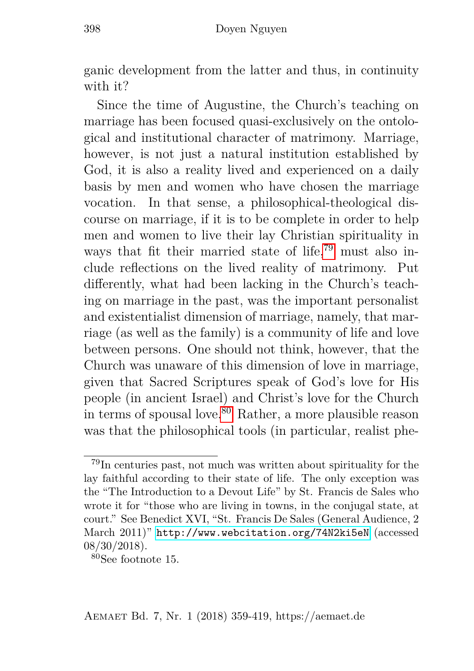ganic development from the latter and thus, in continuity with it?

Since the time of Augustine, the Church's teaching on marriage has been focused quasi-exclusively on the ontological and institutional character of matrimony. Marriage, however, is not just a natural institution established by God, it is also a reality lived and experienced on a daily basis by men and women who have chosen the marriage vocation. In that sense, a philosophical-theological discourse on marriage, if it is to be complete in order to help men and women to live their lay Christian spirituality in ways that fit their married state of life,[79](#page-39-0) must also include reflections on the lived reality of matrimony. Put differently, what had been lacking in the Church's teaching on marriage in the past, was the important personalist and existentialist dimension of marriage, namely, that marriage (as well as the family) is a community of life and love between persons. One should not think, however, that the Church was unaware of this dimension of love in marriage, given that Sacred Scriptures speak of God's love for His people (in ancient Israel) and Christ's love for the Church in terms of spousal love.<sup>[80](#page-39-1)</sup> Rather, a more plausible reason was that the philosophical tools (in particular, realist phe-

<span id="page-39-0"></span><sup>79</sup>In centuries past, not much was written about spirituality for the lay faithful according to their state of life. The only exception was the "The Introduction to a Devout Life" by St. Francis de Sales who wrote it for "those who are living in towns, in the conjugal state, at court." See Benedict XVI, "St. Francis De Sales (General Audience, 2 March 2011)" <http://www.webcitation.org/74N2ki5eN> (accessed 08/30/2018).

<span id="page-39-1"></span><sup>80</sup>See footnote 15.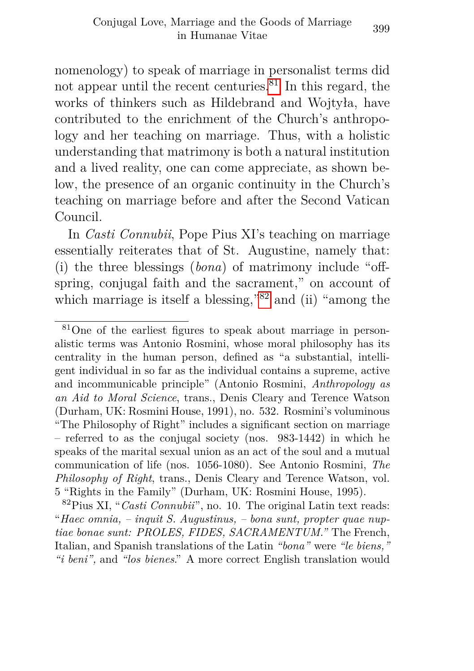nomenology) to speak of marriage in personalist terms did not appear until the recent centuries. $81$  In this regard, the works of thinkers such as Hildebrand and Wojtyła, have contributed to the enrichment of the Church's anthropology and her teaching on marriage. Thus, with a holistic understanding that matrimony is both a natural institution and a lived reality, one can come appreciate, as shown below, the presence of an organic continuity in the Church's teaching on marriage before and after the Second Vatican Council.

In *Casti Connubii*, Pope Pius XI's teaching on marriage essentially reiterates that of St. Augustine, namely that: (i) the three blessings (*bona*) of matrimony include "offspring, conjugal faith and the sacrament," on account of which marriage is itself a blessing,"<sup>[82](#page-40-1)</sup> and (ii) "among the

<span id="page-40-0"></span><sup>81</sup>One of the earliest figures to speak about marriage in personalistic terms was Antonio Rosmini, whose moral philosophy has its centrality in the human person, defined as "a substantial, intelligent individual in so far as the individual contains a supreme, active and incommunicable principle" (Antonio Rosmini, *Anthropology as an Aid to Moral Science*, trans., Denis Cleary and Terence Watson (Durham, UK: Rosmini House, 1991), no. 532. Rosmini's voluminous "The Philosophy of Right" includes a significant section on marriage – referred to as the conjugal society (nos. 983-1442) in which he speaks of the marital sexual union as an act of the soul and a mutual communication of life (nos. 1056-1080). See Antonio Rosmini, *The Philosophy of Right*, trans., Denis Cleary and Terence Watson, vol. 5 "Rights in the Family" (Durham, UK: Rosmini House, 1995).

<span id="page-40-1"></span><sup>82</sup>Pius XI, "*Casti Connubii*", no. 10. The original Latin text reads: "*Haec omnia, – inquit S. Augustinus, – bona sunt, propter quae nuptiae bonae sunt: PROLES, FIDES, SACRAMENTUM."* The French, Italian, and Spanish translations of the Latin *"bona"* were *"le biens," "i beni",* and *"los bienes*." A more correct English translation would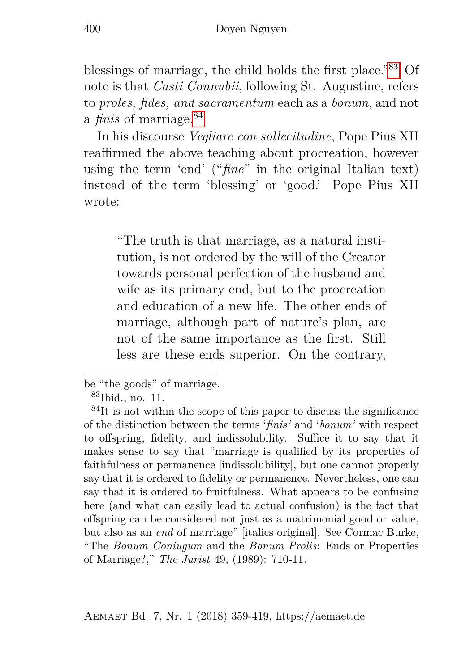blessings of marriage, the child holds the first place."[83](#page-41-0) Of note is that *Casti Connubii*, following St. Augustine, refers to *proles, fides, and sacramentum* each as a *bonum*, and not a *finis* of marriage.[84](#page-41-1)

In his discourse *Vegliare con sollecitudine*, Pope Pius XII reaffirmed the above teaching about procreation, however using the term 'end' ("*fine*" in the original Italian text) instead of the term 'blessing' or 'good.' Pope Pius XII wrote:

"The truth is that marriage, as a natural institution, is not ordered by the will of the Creator towards personal perfection of the husband and wife as its primary end, but to the procreation and education of a new life. The other ends of marriage, although part of nature's plan, are not of the same importance as the first. Still less are these ends superior. On the contrary,

be "the goods" of marriage.

<span id="page-41-1"></span><span id="page-41-0"></span><sup>83</sup>Ibid., no. 11.

 $84$ It is not within the scope of this paper to discuss the significance of the distinction between the terms '*finis'* and '*bonum'* with respect to offspring, fidelity, and indissolubility. Suffice it to say that it makes sense to say that "marriage is qualified by its properties of faithfulness or permanence [indissolubility], but one cannot properly say that it is ordered to fidelity or permanence. Nevertheless, one can say that it is ordered to fruitfulness. What appears to be confusing here (and what can easily lead to actual confusion) is the fact that offspring can be considered not just as a matrimonial good or value, but also as an *end* of marriage" [italics original]. See Cormac Burke, "The *Bonum Coniugum* and the *Bonum Prolis*: Ends or Properties of Marriage?," *The Jurist* 49, (1989): 710-11.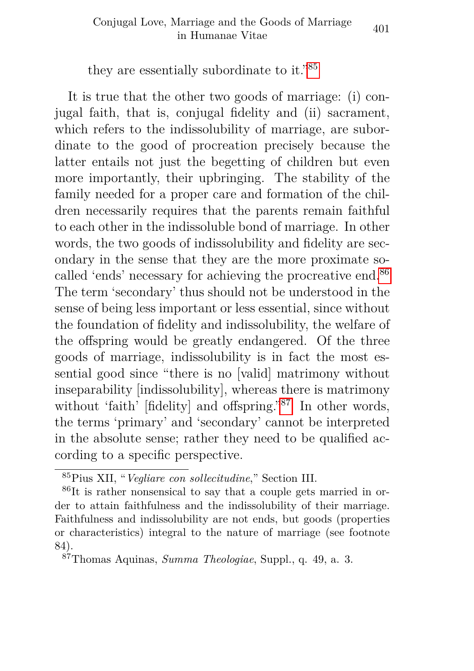they are essentially subordinate to it."[85](#page-42-0)

It is true that the other two goods of marriage: (i) conjugal faith, that is, conjugal fidelity and (ii) sacrament, which refers to the indissolubility of marriage, are subordinate to the good of procreation precisely because the latter entails not just the begetting of children but even more importantly, their upbringing. The stability of the family needed for a proper care and formation of the children necessarily requires that the parents remain faithful to each other in the indissoluble bond of marriage. In other words, the two goods of indissolubility and fidelity are secondary in the sense that they are the more proximate so-called 'ends' necessary for achieving the procreative end.<sup>[86](#page-42-1)</sup> The term 'secondary' thus should not be understood in the sense of being less important or less essential, since without the foundation of fidelity and indissolubility, the welfare of the offspring would be greatly endangered. Of the three goods of marriage, indissolubility is in fact the most essential good since "there is no [valid] matrimony without inseparability [indissolubility], whereas there is matrimony without 'faith' [fidelity] and offspring."<sup>[87](#page-42-2)</sup> In other words, the terms 'primary' and 'secondary' cannot be interpreted in the absolute sense; rather they need to be qualified according to a specific perspective.

<span id="page-42-1"></span><span id="page-42-0"></span><sup>85</sup>Pius XII, "*Vegliare con sollecitudine*," Section III.

<sup>86</sup>It is rather nonsensical to say that a couple gets married in order to attain faithfulness and the indissolubility of their marriage. Faithfulness and indissolubility are not ends, but goods (properties or characteristics) integral to the nature of marriage (see footnote 84).

<span id="page-42-2"></span><sup>87</sup>Thomas Aquinas, *Summa Theologiae*, Suppl., q. 49, a. 3.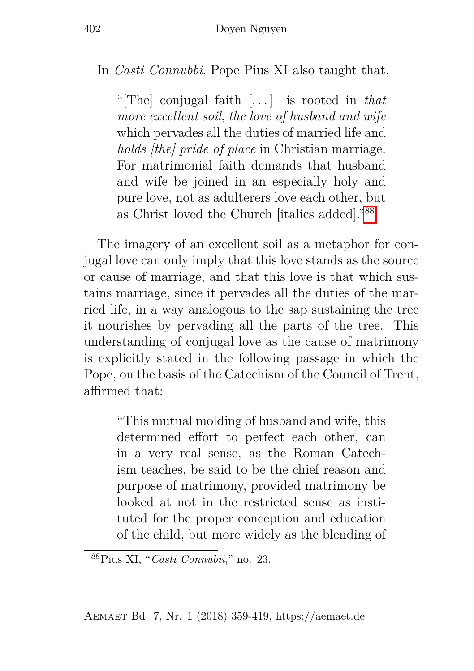#### In *Casti Connubbi*, Pope Pius XI also taught that,

"[The] conjugal faith [. . . ] is rooted in *that more excellent soil*, *the love of husband and wife* which pervades all the duties of married life and *holds [the] pride of place* in Christian marriage. For matrimonial faith demands that husband and wife be joined in an especially holy and pure love, not as adulterers love each other, but as Christ loved the Church [italics added]."[88](#page-43-0)

The imagery of an excellent soil as a metaphor for conjugal love can only imply that this love stands as the source or cause of marriage, and that this love is that which sustains marriage, since it pervades all the duties of the married life, in a way analogous to the sap sustaining the tree it nourishes by pervading all the parts of the tree. This understanding of conjugal love as the cause of matrimony is explicitly stated in the following passage in which the Pope, on the basis of the Catechism of the Council of Trent, affirmed that:

"This mutual molding of husband and wife, this determined effort to perfect each other, can in a very real sense, as the Roman Catechism teaches, be said to be the chief reason and purpose of matrimony, provided matrimony be looked at not in the restricted sense as instituted for the proper conception and education of the child, but more widely as the blending of

<span id="page-43-0"></span><sup>88</sup>Pius XI, "*Casti Connubii*," no. 23.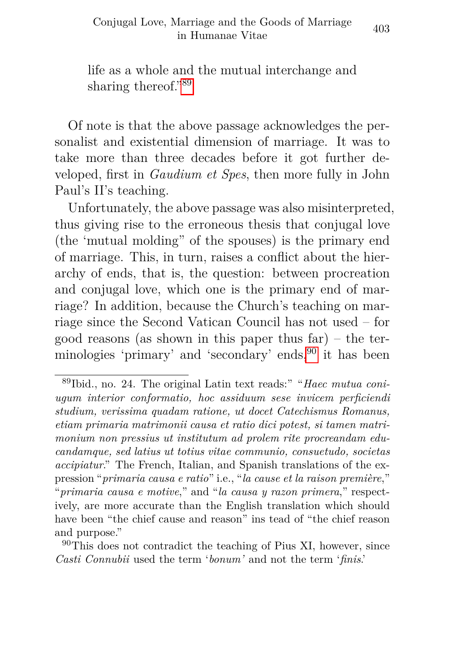life as a whole and the mutual interchange and sharing thereof."[89](#page-44-0)

Of note is that the above passage acknowledges the personalist and existential dimension of marriage. It was to take more than three decades before it got further developed, first in *Gaudium et Spes*, then more fully in John Paul's II's teaching.

Unfortunately, the above passage was also misinterpreted, thus giving rise to the erroneous thesis that conjugal love (the 'mutual molding" of the spouses) is the primary end of marriage. This, in turn, raises a conflict about the hierarchy of ends, that is, the question: between procreation and conjugal love, which one is the primary end of marriage? In addition, because the Church's teaching on marriage since the Second Vatican Council has not used – for good reasons (as shown in this paper thus far) – the ter-minologies 'primary' and 'secondary' ends,<sup>[90](#page-44-1)</sup> it has been

<span id="page-44-0"></span><sup>89</sup>Ibid., no. 24. The original Latin text reads:" "*Haec mutua coniugum interior conformatio, hoc assiduum sese invicem perficiendi studium, verissima quadam ratione, ut docet Catechismus Romanus, etiam primaria matrimonii causa et ratio dici potest, si tamen matrimonium non pressius ut institutum ad prolem rite procreandam educandamque, sed latius ut totius vitae communio, consuetudo, societas accipiatur*." The French, Italian, and Spanish translations of the expression "*primaria causa e ratio*" i.e., "*la cause et la raison première*," "*primaria causa e motive*," and "*la causa y razon primera*," respectively, are more accurate than the English translation which should have been "the chief cause and reason" ins tead of "the chief reason and purpose."

<span id="page-44-1"></span> $90$ This does not contradict the teaching of Pius XI, however, since *Casti Connubii* used the term '*bonum'* and not the term '*finis*.'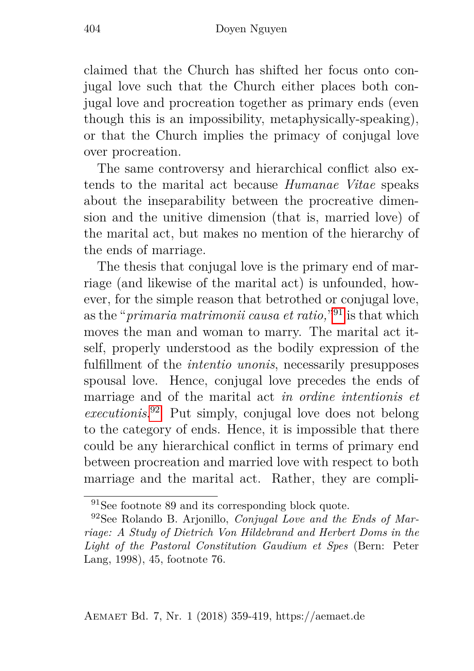claimed that the Church has shifted her focus onto conjugal love such that the Church either places both conjugal love and procreation together as primary ends (even though this is an impossibility, metaphysically-speaking), or that the Church implies the primacy of conjugal love over procreation.

The same controversy and hierarchical conflict also extends to the marital act because *Humanae Vitae* speaks about the inseparability between the procreative dimension and the unitive dimension (that is, married love) of the marital act, but makes no mention of the hierarchy of the ends of marriage.

The thesis that conjugal love is the primary end of marriage (and likewise of the marital act) is unfounded, however, for the simple reason that betrothed or conjugal love, as the "*primaria matrimonii causa et ratio,*" [91](#page-45-0) is that which moves the man and woman to marry. The marital act itself, properly understood as the bodily expression of the fulfillment of the *intentio unonis*, necessarily presupposes spousal love. Hence, conjugal love precedes the ends of marriage and of the marital act *in ordine intentionis et executionis*. [92](#page-45-1) Put simply, conjugal love does not belong to the category of ends. Hence, it is impossible that there could be any hierarchical conflict in terms of primary end between procreation and married love with respect to both marriage and the marital act. Rather, they are compli-

<span id="page-45-1"></span><span id="page-45-0"></span><sup>91</sup>See footnote 89 and its corresponding block quote.

<sup>92</sup>See Rolando B. Arjonillo, *Conjugal Love and the Ends of Marriage: A Study of Dietrich Von Hildebrand and Herbert Doms in the Light of the Pastoral Constitution Gaudium et Spes* (Bern: Peter Lang, 1998), 45, footnote 76.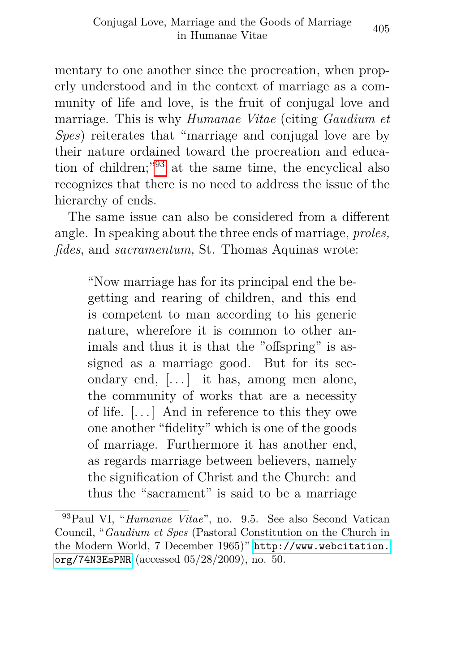mentary to one another since the procreation, when properly understood and in the context of marriage as a community of life and love, is the fruit of conjugal love and marriage. This is why *Humanae Vitae* (citing *Gaudium et Spes*) reiterates that "marriage and conjugal love are by their nature ordained toward the procreation and education of children;"[93](#page-46-0) at the same time, the encyclical also recognizes that there is no need to address the issue of the hierarchy of ends.

The same issue can also be considered from a different angle. In speaking about the three ends of marriage, *proles, fides*, and *sacramentum,* St. Thomas Aquinas wrote:

"Now marriage has for its principal end the begetting and rearing of children, and this end is competent to man according to his generic nature, wherefore it is common to other animals and thus it is that the "offspring" is assigned as a marriage good. But for its secondary end, [. . . ] it has, among men alone, the community of works that are a necessity of life. [. . . ] And in reference to this they owe one another "fidelity" which is one of the goods of marriage. Furthermore it has another end, as regards marriage between believers, namely the signification of Christ and the Church: and thus the "sacrament" is said to be a marriage

<span id="page-46-0"></span><sup>93</sup>Paul VI, "*Humanae Vitae*", no. 9.5. See also Second Vatican Council, "*Gaudium et Spes* (Pastoral Constitution on the Church in the Modern World, 7 December 1965)" [http://www.webcitation.](http://www.webcitation.org/74N3EsPNR) [org/74N3EsPNR](http://www.webcitation.org/74N3EsPNR) (accessed 05/28/2009), no. 50.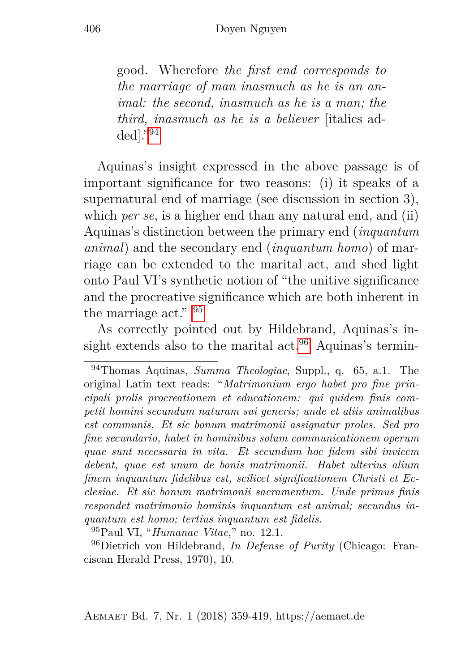good. Wherefore *the first end corresponds to the marriage of man inasmuch as he is an animal: the second, inasmuch as he is a man; the third, inasmuch as he is a believer* [italics added]."[94](#page-47-0)

Aquinas's insight expressed in the above passage is of important significance for two reasons: (i) it speaks of a supernatural end of marriage (see discussion in section 3), which *per se*, is a higher end than any natural end, and (ii) Aquinas's distinction between the primary end (*inquantum animal*) and the secondary end (*inquantum homo*) of marriage can be extended to the marital act, and shed light onto Paul VI's synthetic notion of "the unitive significance and the procreative significance which are both inherent in the marriage act." [95](#page-47-1)

As correctly pointed out by Hildebrand, Aquinas's in-sight extends also to the marital act.<sup>[96](#page-47-2)</sup> Aquinas's termin-

<span id="page-47-2"></span><span id="page-47-1"></span><sup>95</sup>Paul VI, "*Humanae Vitae*," no. 12.1.

<sup>96</sup>Dietrich von Hildebrand, *In Defense of Purity* (Chicago: Franciscan Herald Press, 1970), 10.

<span id="page-47-0"></span><sup>94</sup>Thomas Aquinas, *Summa Theologiae*, Suppl., q. 65, a.1. The original Latin text reads: "*Matrimonium ergo habet pro fine principali prolis procreationem et educationem: qui quidem finis competit homini secundum naturam sui generis; unde et aliis animalibus est communis. Et sic bonum matrimonii assignatur proles. Sed pro fine secundario, habet in hominibus solum communicationem operum quae sunt necessaria in vita. Et secundum hoc fidem sibi invicem debent, quae est unum de bonis matrimonii. Habet ulterius alium finem inquantum fidelibus est, scilicet significationem Christi et Ecclesiae. Et sic bonum matrimonii sacramentum. Unde primus finis respondet matrimonio hominis inquantum est animal; secundus inquantum est homo; tertius inquantum est fidelis.*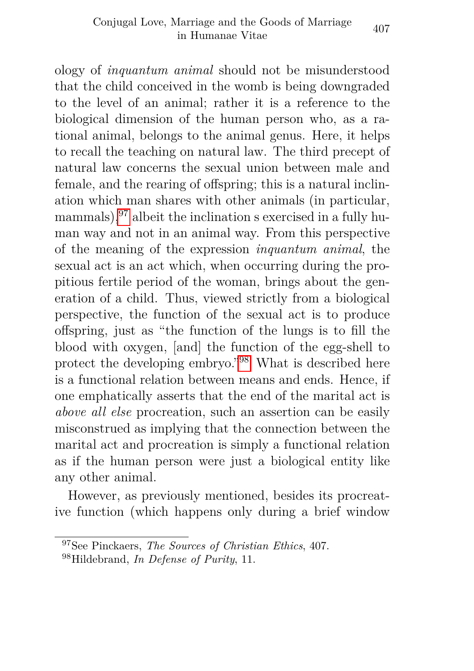ology of *inquantum animal* should not be misunderstood that the child conceived in the womb is being downgraded to the level of an animal; rather it is a reference to the biological dimension of the human person who, as a rational animal, belongs to the animal genus. Here, it helps to recall the teaching on natural law. The third precept of natural law concerns the sexual union between male and female, and the rearing of offspring; this is a natural inclination which man shares with other animals (in particular, mammals),<sup>[97](#page-48-0)</sup> albeit the inclination s exercised in a fully human way and not in an animal way. From this perspective of the meaning of the expression *inquantum animal*, the sexual act is an act which, when occurring during the propitious fertile period of the woman, brings about the generation of a child. Thus, viewed strictly from a biological perspective, the function of the sexual act is to produce offspring, just as "the function of the lungs is to fill the blood with oxygen, [and] the function of the egg-shell to protect the developing embryo."[98](#page-48-1) What is described here is a functional relation between means and ends. Hence, if one emphatically asserts that the end of the marital act is *above all else* procreation, such an assertion can be easily misconstrued as implying that the connection between the marital act and procreation is simply a functional relation as if the human person were just a biological entity like any other animal.

However, as previously mentioned, besides its procreative function (which happens only during a brief window

<span id="page-48-0"></span><sup>97</sup>See Pinckaers, *The Sources of Christian Ethics*, 407.

<span id="page-48-1"></span><sup>98</sup>Hildebrand, *In Defense of Purity*, 11.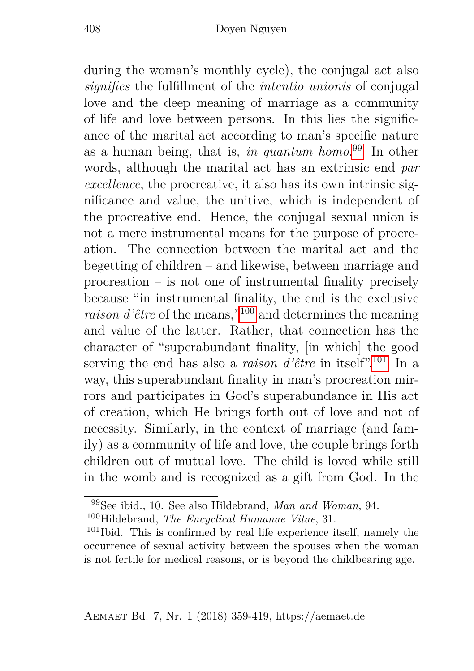during the woman's monthly cycle), the conjugal act also *signifies* the fulfillment of the *intentio unionis* of conjugal love and the deep meaning of marriage as a community of life and love between persons. In this lies the significance of the marital act according to man's specific nature as a human being, that is, *in quantum homo*. [99](#page-49-0) In other words, although the marital act has an extrinsic end *par excellence*, the procreative, it also has its own intrinsic significance and value, the unitive, which is independent of the procreative end. Hence, the conjugal sexual union is not a mere instrumental means for the purpose of procreation. The connection between the marital act and the begetting of children – and likewise, between marriage and procreation – is not one of instrumental finality precisely because "in instrumental finality, the end is the exclusive *raison d'être* of the means,"[100](#page-49-1) and determines the meaning and value of the latter. Rather, that connection has the character of "superabundant finality, [in which] the good serving the end has also a *raison d'être* in itself".[101](#page-49-2) In a way, this superabundant finality in man's procreation mirrors and participates in God's superabundance in His act of creation, which He brings forth out of love and not of necessity. Similarly, in the context of marriage (and family) as a community of life and love, the couple brings forth children out of mutual love. The child is loved while still in the womb and is recognized as a gift from God. In the

<span id="page-49-1"></span><span id="page-49-0"></span><sup>99</sup>See ibid., 10. See also Hildebrand, *Man and Woman*, 94. <sup>100</sup>Hildebrand, *The Encyclical Humanae Vitae*, 31.

<span id="page-49-2"></span> $101$ Ibid. This is confirmed by real life experience itself, namely the occurrence of sexual activity between the spouses when the woman is not fertile for medical reasons, or is beyond the childbearing age.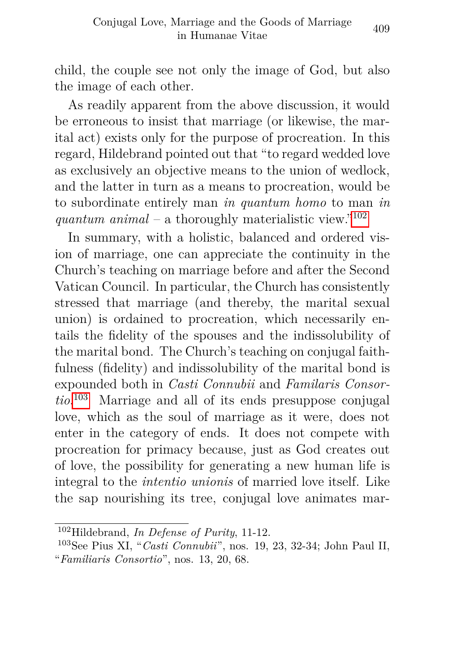child, the couple see not only the image of God, but also the image of each other.

As readily apparent from the above discussion, it would be erroneous to insist that marriage (or likewise, the marital act) exists only for the purpose of procreation. In this regard, Hildebrand pointed out that "to regard wedded love as exclusively an objective means to the union of wedlock, and the latter in turn as a means to procreation, would be to subordinate entirely man *in quantum homo* to man *in quantum animal* – a thoroughly materialistic view."<sup>[102](#page-50-0)</sup>

In summary, with a holistic, balanced and ordered vision of marriage, one can appreciate the continuity in the Church's teaching on marriage before and after the Second Vatican Council. In particular, the Church has consistently stressed that marriage (and thereby, the marital sexual union) is ordained to procreation, which necessarily entails the fidelity of the spouses and the indissolubility of the marital bond. The Church's teaching on conjugal faithfulness (fidelity) and indissolubility of the marital bond is expounded both in *Casti Connubii* and *Familaris Consortio*. [103](#page-50-1) Marriage and all of its ends presuppose conjugal love, which as the soul of marriage as it were, does not enter in the category of ends. It does not compete with procreation for primacy because, just as God creates out of love, the possibility for generating a new human life is integral to the *intentio unionis* of married love itself. Like the sap nourishing its tree, conjugal love animates mar-

<span id="page-50-0"></span><sup>102</sup>Hildebrand, *In Defense of Purity*, 11-12.

<span id="page-50-1"></span><sup>103</sup>See Pius XI, "*Casti Connubii*", nos. 19, 23, 32-34; John Paul II, "*Familiaris Consortio*", nos. 13, 20, 68.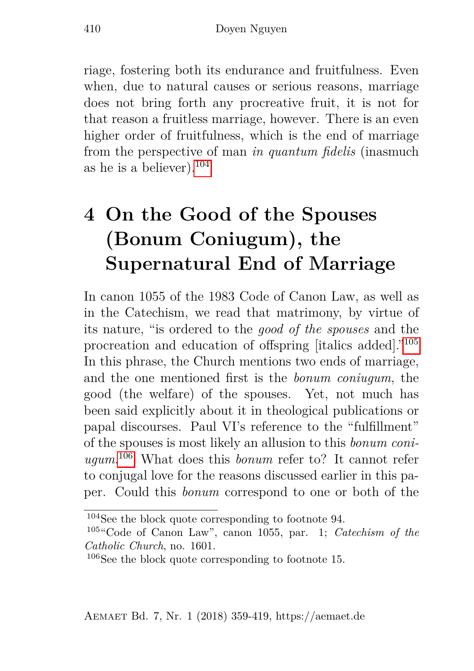riage, fostering both its endurance and fruitfulness. Even when, due to natural causes or serious reasons, marriage does not bring forth any procreative fruit, it is not for that reason a fruitless marriage, however. There is an even higher order of fruitfulness, which is the end of marriage from the perspective of man *in quantum fidelis* (inasmuch as he is a believer).  $104$ 

## <span id="page-51-0"></span>**4 On the Good of the Spouses (Bonum Coniugum), the Supernatural End of Marriage**

In canon 1055 of the 1983 Code of Canon Law, as well as in the Catechism, we read that matrimony, by virtue of its nature, "is ordered to the *good of the spouses* and the procreation and education of offspring [italics added]."[105](#page-51-2) In this phrase, the Church mentions two ends of marriage, and the one mentioned first is the *bonum coniugum*, the good (the welfare) of the spouses. Yet, not much has been said explicitly about it in theological publications or papal discourses. Paul VI's reference to the "fulfillment" of the spouses is most likely an allusion to this *bonum coniugum*. [106](#page-51-3) What does this *bonum* refer to? It cannot refer to conjugal love for the reasons discussed earlier in this paper. Could this *bonum* correspond to one or both of the

<span id="page-51-1"></span> $104$ See the block quote corresponding to footnote 94.

<span id="page-51-2"></span><sup>105</sup>"Code of Canon Law", canon 1055, par. 1; *Catechism of the Catholic Church*, no. 1601.

<span id="page-51-3"></span><sup>106</sup>See the block quote corresponding to footnote 15.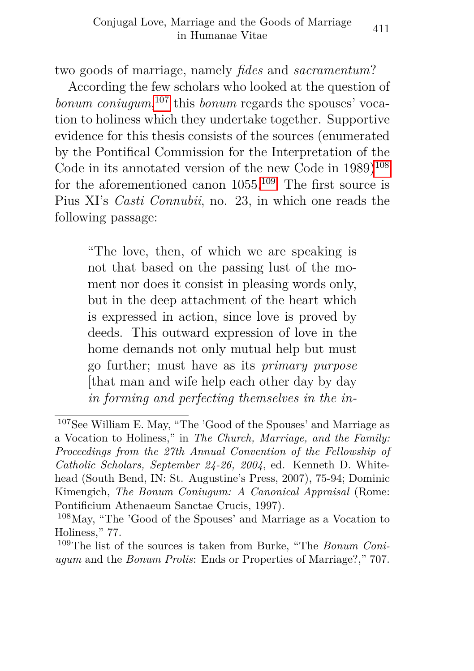two goods of marriage, namely *fides* and *sacramentum*?

According the few scholars who looked at the question of *bonum coniugum*, [107](#page-52-0) this *bonum* regards the spouses' vocation to holiness which they undertake together. Supportive evidence for this thesis consists of the sources (enumerated by the Pontifical Commission for the Interpretation of the Code in its annotated version of the new Code in  $1989)^{108}$  $1989)^{108}$  $1989)^{108}$ for the aforementioned canon  $1055^{109}$  $1055^{109}$  $1055^{109}$  The first source is Pius XI's *Casti Connubii*, no. 23, in which one reads the following passage:

"The love, then, of which we are speaking is not that based on the passing lust of the moment nor does it consist in pleasing words only, but in the deep attachment of the heart which is expressed in action, since love is proved by deeds. This outward expression of love in the home demands not only mutual help but must go further; must have as its *primary purpose* [that man and wife help each other day by day *in forming and perfecting themselves in the in-*

<span id="page-52-0"></span><sup>107</sup>See William E. May, "The 'Good of the Spouses' and Marriage as a Vocation to Holiness," in *The Church, Marriage, and the Family: Proceedings from the 27th Annual Convention of the Fellowship of Catholic Scholars, September 24-26, 2004*, ed. Kenneth D. Whitehead (South Bend, IN: St. Augustine's Press, 2007), 75-94; Dominic Kimengich, *The Bonum Coniugum: A Canonical Appraisal* (Rome: Pontificium Athenaeum Sanctae Crucis, 1997).

<span id="page-52-1"></span><sup>108</sup>May, "The 'Good of the Spouses' and Marriage as a Vocation to Holiness," 77.

<span id="page-52-2"></span><sup>109</sup>The list of the sources is taken from Burke, "The *Bonum Coniugum* and the *Bonum Prolis*: Ends or Properties of Marriage?," 707.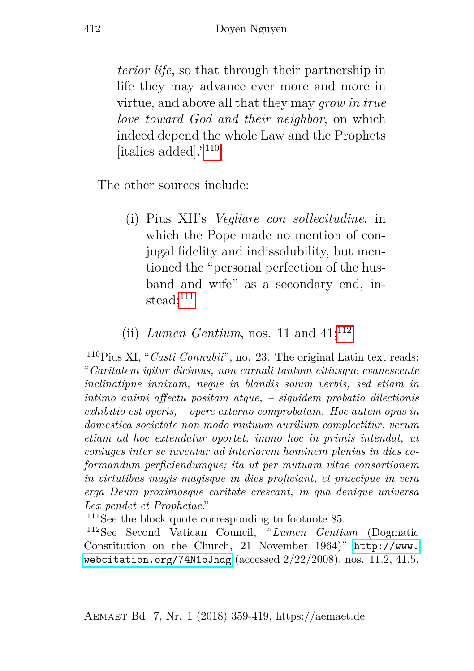*terior life*, so that through their partnership in life they may advance ever more and more in virtue, and above all that they may *grow in true love toward God and their neighbor*, on which indeed depend the whole Law and the Prophets [italics added]."[110](#page-53-0)

The other sources include:

- (i) Pius XII's *Vegliare con sollecitudine*, in which the Pope made no mention of conjugal fidelity and indissolubility, but mentioned the "personal perfection of the husband and wife" as a secondary end, instead; $111$
- (ii) *Lumen Gentium*, nos. 11 and  $41$ ;<sup>[112](#page-53-2)</sup>

<span id="page-53-1"></span> $111$ See the block quote corresponding to footnote 85.

<span id="page-53-2"></span><sup>112</sup>See Second Vatican Council, "*Lumen Gentium* (Dogmatic Constitution on the Church, 21 November 1964)" [http://www.](http://www.webcitation.org/74N1oJhdg) [webcitation.org/74N1oJhdg](http://www.webcitation.org/74N1oJhdg) (accessed  $2/22/2008$ ), nos. 11.2, 41.5.

<span id="page-53-0"></span><sup>110</sup>Pius XI, "*Casti Connubii*", no. 23. The original Latin text reads: "*Caritatem igitur dicimus, non carnali tantum citiusque evanescente inclinatipne innixam, neque in blandis solum verbis, sed etiam in intimo animi affectu positam atque, – siquidem probatio dilectionis exhibitio est operis, – opere externo comprobatam. Hoc autem opus in domestica societate non modo mutuum auxilium complectitur, verum etiam ad hoc extendatur oportet, immo hoc in primis intendat, ut coniuges inter se iuventur ad interiorem hominem plenius in dies coformandum perficiendumque; ita ut per mutuam vitae consortionem in virtutibus magis magisque in dies proficiant, et praecipue in vera erga Deum proximosque caritate crescant, in qua denique universa Lex pendet et Prophetae*."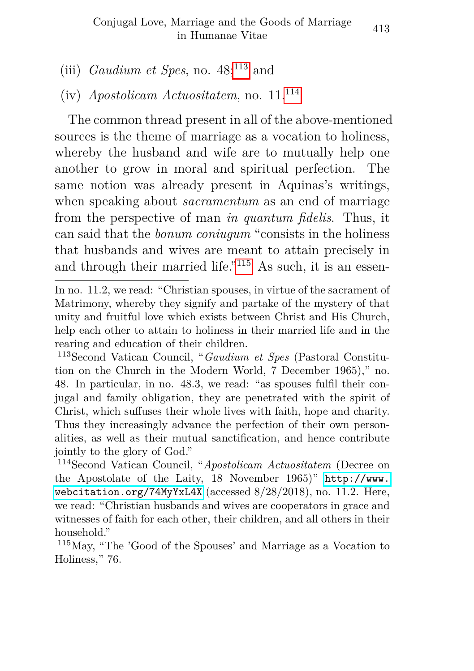#### (iii) *Gaudium et Spes*, no.  $48$ <sup>[113](#page-54-0)</sup> and

#### (iv) *Apostolicam Actuositatem*, no. 11.[114](#page-54-1)

The common thread present in all of the above-mentioned sources is the theme of marriage as a vocation to holiness, whereby the husband and wife are to mutually help one another to grow in moral and spiritual perfection. The same notion was already present in Aquinas's writings, when speaking about *sacramentum* as an end of marriage from the perspective of man *in quantum fidelis*. Thus, it can said that the *bonum coniugum* "consists in the holiness that husbands and wives are meant to attain precisely in and through their married life."[115](#page-54-2) As such, it is an essen-

In no. 11.2, we read: "Christian spouses, in virtue of the sacrament of Matrimony, whereby they signify and partake of the mystery of that unity and fruitful love which exists between Christ and His Church, help each other to attain to holiness in their married life and in the rearing and education of their children.

<span id="page-54-0"></span><sup>113</sup>Second Vatican Council, "*Gaudium et Spes* (Pastoral Constitution on the Church in the Modern World, 7 December 1965)," no. 48. In particular, in no. 48.3, we read: "as spouses fulfil their conjugal and family obligation, they are penetrated with the spirit of Christ, which suffuses their whole lives with faith, hope and charity. Thus they increasingly advance the perfection of their own personalities, as well as their mutual sanctification, and hence contribute jointly to the glory of God."

<span id="page-54-1"></span><sup>114</sup>Second Vatican Council, "*Apostolicam Actuositatem* (Decree on the Apostolate of the Laity, 18 November 1965)" [http://www.](http://www.webcitation.org/74MyYxL4X) [webcitation.org/74MyYxL4X](http://www.webcitation.org/74MyYxL4X) (accessed 8/28/2018), no. 11.2. Here, we read: "Christian husbands and wives are cooperators in grace and witnesses of faith for each other, their children, and all others in their household."

<span id="page-54-2"></span><sup>115</sup>May, "The 'Good of the Spouses' and Marriage as a Vocation to Holiness," 76.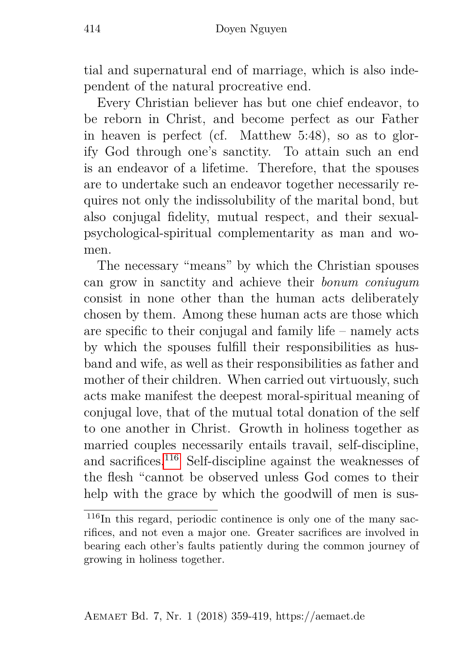tial and supernatural end of marriage, which is also independent of the natural procreative end.

Every Christian believer has but one chief endeavor, to be reborn in Christ, and become perfect as our Father in heaven is perfect (cf. Matthew 5:48), so as to glorify God through one's sanctity. To attain such an end is an endeavor of a lifetime. Therefore, that the spouses are to undertake such an endeavor together necessarily requires not only the indissolubility of the marital bond, but also conjugal fidelity, mutual respect, and their sexualpsychological-spiritual complementarity as man and women.

The necessary "means" by which the Christian spouses can grow in sanctity and achieve their *bonum coniugum* consist in none other than the human acts deliberately chosen by them. Among these human acts are those which are specific to their conjugal and family life – namely acts by which the spouses fulfill their responsibilities as husband and wife, as well as their responsibilities as father and mother of their children. When carried out virtuously, such acts make manifest the deepest moral-spiritual meaning of conjugal love, that of the mutual total donation of the self to one another in Christ. Growth in holiness together as married couples necessarily entails travail, self-discipline, and sacrifices.[116](#page-55-0) Self-discipline against the weaknesses of the flesh "cannot be observed unless God comes to their help with the grace by which the goodwill of men is sus-

<span id="page-55-0"></span> $116$ In this regard, periodic continence is only one of the many sacrifices, and not even a major one. Greater sacrifices are involved in bearing each other's faults patiently during the common journey of growing in holiness together.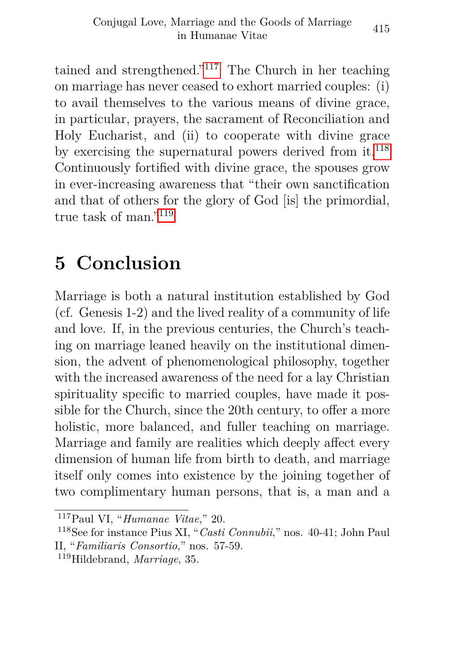tained and strengthened."[117](#page-56-1) The Church in her teaching on marriage has never ceased to exhort married couples: (i) to avail themselves to the various means of divine grace, in particular, prayers, the sacrament of Reconciliation and Holy Eucharist, and (ii) to cooperate with divine grace by exercising the supernatural powers derived from  $\text{it}^{118}$  $\text{it}^{118}$  $\text{it}^{118}$ Continuously fortified with divine grace, the spouses grow in ever-increasing awareness that "their own sanctification and that of others for the glory of God [is] the primordial, true task of man."[119](#page-56-3)

## <span id="page-56-0"></span>**5 Conclusion**

Marriage is both a natural institution established by God (cf. Genesis 1-2) and the lived reality of a community of life and love. If, in the previous centuries, the Church's teaching on marriage leaned heavily on the institutional dimension, the advent of phenomenological philosophy, together with the increased awareness of the need for a lay Christian spirituality specific to married couples, have made it possible for the Church, since the 20th century, to offer a more holistic, more balanced, and fuller teaching on marriage. Marriage and family are realities which deeply affect every dimension of human life from birth to death, and marriage itself only comes into existence by the joining together of two complimentary human persons, that is, a man and a

<span id="page-56-1"></span><sup>117</sup>Paul VI, "*Humanae Vitae*," 20.

<span id="page-56-2"></span><sup>118</sup>See for instance Pius XI, "*Casti Connubii*," nos. 40-41; John Paul II, "*Familiaris Consortio*," nos. 57-59.

<span id="page-56-3"></span><sup>119</sup>Hildebrand, *Marriage*, 35.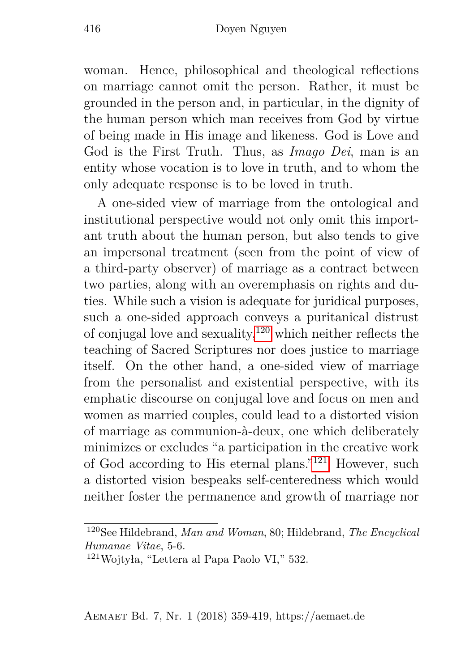woman. Hence, philosophical and theological reflections on marriage cannot omit the person. Rather, it must be grounded in the person and, in particular, in the dignity of the human person which man receives from God by virtue of being made in His image and likeness. God is Love and God is the First Truth. Thus, as *Imago Dei*, man is an entity whose vocation is to love in truth, and to whom the only adequate response is to be loved in truth.

A one-sided view of marriage from the ontological and institutional perspective would not only omit this important truth about the human person, but also tends to give an impersonal treatment (seen from the point of view of a third-party observer) of marriage as a contract between two parties, along with an overemphasis on rights and duties. While such a vision is adequate for juridical purposes, such a one-sided approach conveys a puritanical distrust of conjugal love and sexuality,  $120$  which neither reflects the teaching of Sacred Scriptures nor does justice to marriage itself. On the other hand, a one-sided view of marriage from the personalist and existential perspective, with its emphatic discourse on conjugal love and focus on men and women as married couples, could lead to a distorted vision of marriage as communion-à-deux, one which deliberately minimizes or excludes "a participation in the creative work of God according to His eternal plans."[121](#page-57-1) However, such a distorted vision bespeaks self-centeredness which would neither foster the permanence and growth of marriage nor

<span id="page-57-0"></span><sup>120</sup>See Hildebrand, *Man and Woman*, 80; Hildebrand, *The Encyclical Humanae Vitae*, 5-6.

<span id="page-57-1"></span><sup>121</sup>Wojtyła, "Lettera al Papa Paolo VI," 532.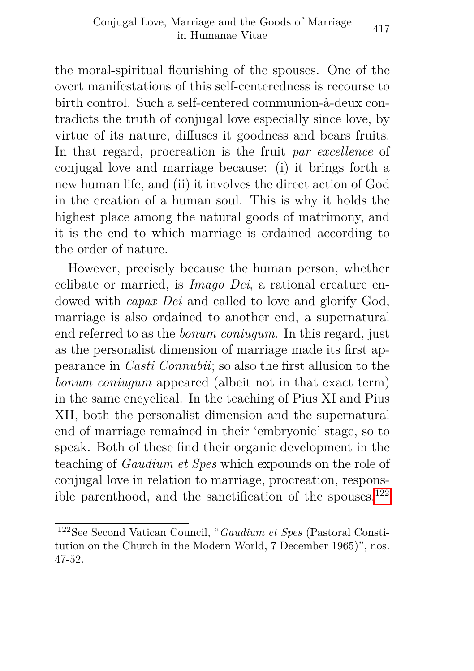the moral-spiritual flourishing of the spouses. One of the overt manifestations of this self-centeredness is recourse to birth control. Such a self-centered communion-à-deux contradicts the truth of conjugal love especially since love, by virtue of its nature, diffuses it goodness and bears fruits. In that regard, procreation is the fruit *par excellence* of conjugal love and marriage because: (i) it brings forth a new human life, and (ii) it involves the direct action of God in the creation of a human soul. This is why it holds the highest place among the natural goods of matrimony, and it is the end to which marriage is ordained according to the order of nature.

However, precisely because the human person, whether celibate or married, is *Imago Dei*, a rational creature endowed with *capax Dei* and called to love and glorify God, marriage is also ordained to another end, a supernatural end referred to as the *bonum coniugum*. In this regard, just as the personalist dimension of marriage made its first appearance in *Casti Connubii*; so also the first allusion to the *bonum coniugum* appeared (albeit not in that exact term) in the same encyclical. In the teaching of Pius XI and Pius XII, both the personalist dimension and the supernatural end of marriage remained in their 'embryonic' stage, so to speak. Both of these find their organic development in the teaching of *Gaudium et Spes* which expounds on the role of conjugal love in relation to marriage, procreation, responsible parenthood, and the sanctification of the spouses, $122$ 

<span id="page-58-0"></span><sup>122</sup>See Second Vatican Council, "*Gaudium et Spes* (Pastoral Constitution on the Church in the Modern World, 7 December 1965)", nos. 47-52.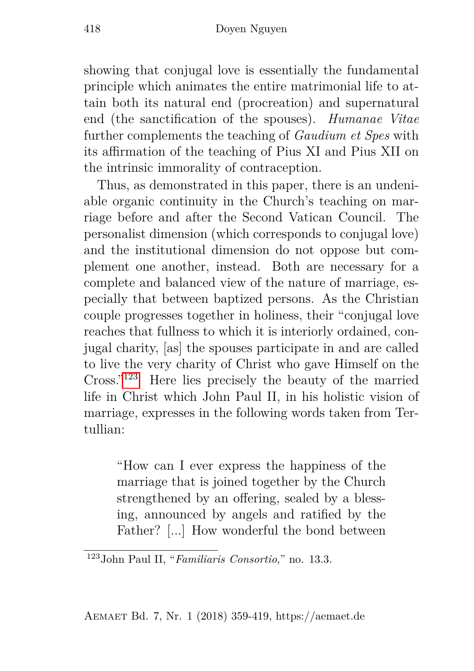showing that conjugal love is essentially the fundamental principle which animates the entire matrimonial life to attain both its natural end (procreation) and supernatural end (the sanctification of the spouses). *Humanae Vitae* further complements the teaching of *Gaudium et Spes* with its affirmation of the teaching of Pius XI and Pius XII on the intrinsic immorality of contraception.

Thus, as demonstrated in this paper, there is an undeniable organic continuity in the Church's teaching on marriage before and after the Second Vatican Council. The personalist dimension (which corresponds to conjugal love) and the institutional dimension do not oppose but complement one another, instead. Both are necessary for a complete and balanced view of the nature of marriage, especially that between baptized persons. As the Christian couple progresses together in holiness, their "conjugal love reaches that fullness to which it is interiorly ordained, conjugal charity, [as] the spouses participate in and are called to live the very charity of Christ who gave Himself on the Cross."[123](#page-59-0) Here lies precisely the beauty of the married life in Christ which John Paul II, in his holistic vision of marriage, expresses in the following words taken from Tertullian:

"How can I ever express the happiness of the marriage that is joined together by the Church strengthened by an offering, sealed by a blessing, announced by angels and ratified by the Father? [...] How wonderful the bond between

Aemaet Bd. 7, Nr. 1 (2018) 359-419, https://aemaet.de

<span id="page-59-0"></span><sup>123</sup>John Paul II, "*Familiaris Consortio*," no. 13.3.